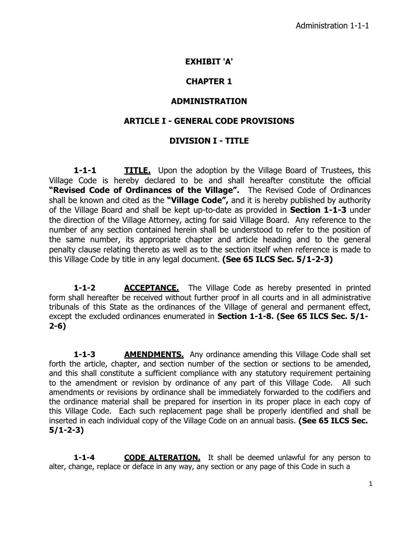## **EXHIBIT 'A'**

# **CHAPTER 1**

## **ADMINISTRATION**

## **ARTICLE I - GENERAL CODE PROVISIONS**

# **DIVISION I - TITLE**

**1-1-1 TITLE.** Upon the adoption by the Village Board of Trustees, this Village Code is hereby declared to be and shall hereafter constitute the official **"Revised Code of Ordinances of the Village".** The Revised Code of Ordinances shall be known and cited as the **"Village Code",** and it is hereby published by authority of the Village Board and shall be kept up-to-date as provided in **Section 1-1-3** under the direction of the Village Attorney, acting for said Village Board. Any reference to the number of any section contained herein shall be understood to refer to the position of the same number, its appropriate chapter and article heading and to the general penalty clause relating thereto as well as to the section itself when reference is made to this Village Code by title in any legal document. **(See 65 ILCS Sec. 5/1-2-3)**

**1-1-2 ACCEPTANCE.** The Village Code as hereby presented in printed form shall hereafter be received without further proof in all courts and in all administrative tribunals of this State as the ordinances of the Village of general and permanent effect, except the excluded ordinances enumerated in **Section 1-1-8. (See 65 ILCS Sec. 5/1- 2-6)**

**1-1-3 AMENDMENTS.** Any ordinance amending this Village Code shall set forth the article, chapter, and section number of the section or sections to be amended, and this shall constitute a sufficient compliance with any statutory requirement pertaining to the amendment or revision by ordinance of any part of this Village Code. All such amendments or revisions by ordinance shall be immediately forwarded to the codifiers and the ordinance material shall be prepared for insertion in its proper place in each copy of this Village Code. Each such replacement page shall be properly identified and shall be inserted in each individual copy of the Village Code on an annual basis. **(See 65 ILCS Sec. 5/1-2-3)**

**1-1-4 CODE ALTERATION.** It shall be deemed unlawful for any person to alter, change, replace or deface in any way, any section or any page of this Code in such a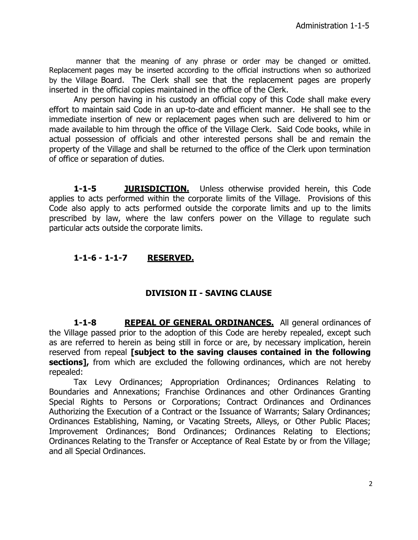manner that the meaning of any phrase or order may be changed or omitted. Replacement pages may be inserted according to the official instructions when so authorized by the Village Board. The Clerk shall see that the replacement pages are properly inserted in the official copies maintained in the office of the Clerk.

Any person having in his custody an official copy of this Code shall make every effort to maintain said Code in an up-to-date and efficient manner. He shall see to the immediate insertion of new or replacement pages when such are delivered to him or made available to him through the office of the Village Clerk. Said Code books, while in actual possession of officials and other interested persons shall be and remain the property of the Village and shall be returned to the office of the Clerk upon termination of office or separation of duties.

**1-1-5 JURISDICTION.** Unless otherwise provided herein, this Code applies to acts performed within the corporate limits of the Village. Provisions of this Code also apply to acts performed outside the corporate limits and up to the limits prescribed by law, where the law confers power on the Village to regulate such particular acts outside the corporate limits.

# **1-1-6 - 1-1-7 RESERVED.**

## **DIVISION II - SAVING CLAUSE**

**1-1-8 REPEAL OF GENERAL ORDINANCES.** All general ordinances of the Village passed prior to the adoption of this Code are hereby repealed, except such as are referred to herein as being still in force or are, by necessary implication, herein reserved from repeal **[subject to the saving clauses contained in the following sections]**, from which are excluded the following ordinances, which are not hereby repealed:

Tax Levy Ordinances; Appropriation Ordinances; Ordinances Relating to Boundaries and Annexations; Franchise Ordinances and other Ordinances Granting Special Rights to Persons or Corporations; Contract Ordinances and Ordinances Authorizing the Execution of a Contract or the Issuance of Warrants; Salary Ordinances; Ordinances Establishing, Naming, or Vacating Streets, Alleys, or Other Public Places; Improvement Ordinances; Bond Ordinances; Ordinances Relating to Elections; Ordinances Relating to the Transfer or Acceptance of Real Estate by or from the Village; and all Special Ordinances.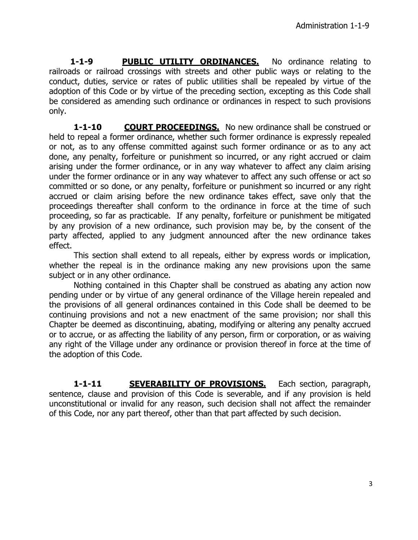1-1-9 **PUBLIC UTILITY ORDINANCES.** No ordinance relating to railroads or railroad crossings with streets and other public ways or relating to the conduct, duties, service or rates of public utilities shall be repealed by virtue of the adoption of this Code or by virtue of the preceding section, excepting as this Code shall be considered as amending such ordinance or ordinances in respect to such provisions only.

**1-1-10 COURT PROCEEDINGS.** No new ordinance shall be construed or held to repeal a former ordinance, whether such former ordinance is expressly repealed or not, as to any offense committed against such former ordinance or as to any act done, any penalty, forfeiture or punishment so incurred, or any right accrued or claim arising under the former ordinance, or in any way whatever to affect any claim arising under the former ordinance or in any way whatever to affect any such offense or act so committed or so done, or any penalty, forfeiture or punishment so incurred or any right accrued or claim arising before the new ordinance takes effect, save only that the proceedings thereafter shall conform to the ordinance in force at the time of such proceeding, so far as practicable. If any penalty, forfeiture or punishment be mitigated by any provision of a new ordinance, such provision may be, by the consent of the party affected, applied to any judgment announced after the new ordinance takes effect.

This section shall extend to all repeals, either by express words or implication, whether the repeal is in the ordinance making any new provisions upon the same subject or in any other ordinance.

Nothing contained in this Chapter shall be construed as abating any action now pending under or by virtue of any general ordinance of the Village herein repealed and the provisions of all general ordinances contained in this Code shall be deemed to be continuing provisions and not a new enactment of the same provision; nor shall this Chapter be deemed as discontinuing, abating, modifying or altering any penalty accrued or to accrue, or as affecting the liability of any person, firm or corporation, or as waiving any right of the Village under any ordinance or provision thereof in force at the time of the adoption of this Code.

**1-1-11 SEVERABILITY OF PROVISIONS.** Each section, paragraph, sentence, clause and provision of this Code is severable, and if any provision is held unconstitutional or invalid for any reason, such decision shall not affect the remainder of this Code, nor any part thereof, other than that part affected by such decision.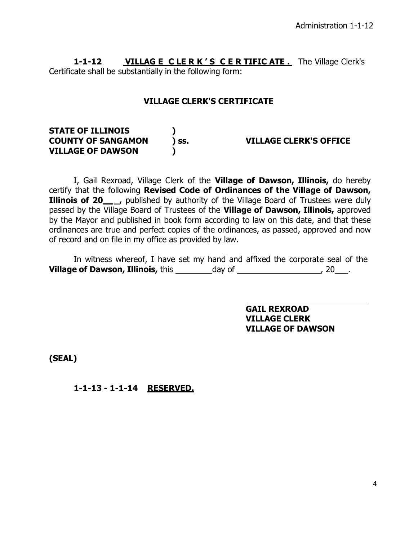**1-1-12 VILLAG E C LE R K ' S C E R TIFIC ATE .** The Village Clerk's Certificate shall be substantially in the following form:

## **VILLAGE CLERK'S CERTIFICATE**

| <b>STATE OF ILLINOIS</b>  |      |                               |
|---------------------------|------|-------------------------------|
| <b>COUNTY OF SANGAMON</b> | ISS. | <b>VILLAGE CLERK'S OFFICE</b> |
| <b>VILLAGE OF DAWSON</b>  |      |                               |

I, Gail Rexroad, Village Clerk of the **Village of Dawson, Illinois,** do hereby certify that the following **Revised Code of Ordinances of the Village of Dawson, Illinois of 20\_\_\_,** published by authority of the Village Board of Trustees were duly passed by the Village Board of Trustees of the **Village of Dawson, Illinois,** approved by the Mayor and published in book form according to law on this date, and that these ordinances are true and perfect copies of the ordinances, as passed, approved and now of record and on file in my office as provided by law.

In witness whereof, I have set my hand and affixed the corporate seal of the **Village of Dawson, Illinois,** this \_\_\_\_\_\_\_\_\_day of \_\_\_\_\_\_\_\_\_\_\_\_\_\_\_\_\_\_\_\_\_, 20\_\_\_\_.

> **GAIL REXROAD VILLAGE CLERK VILLAGE OF DAWSON**

**(SEAL)**

**1-1-13 - 1-1-14 RESERVED.**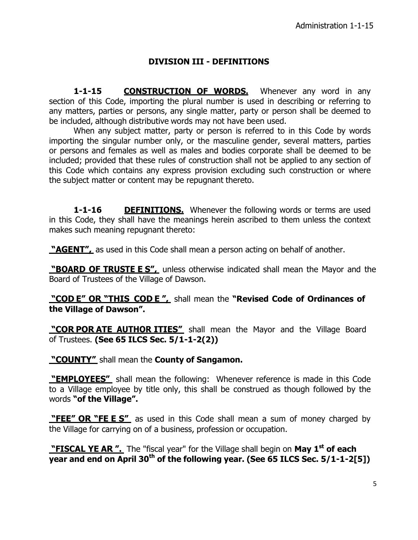## **DIVISION III - DEFINITIONS**

1-1-15 **CONSTRUCTION OF WORDS.** Whenever any word in any section of this Code, importing the plural number is used in describing or referring to any matters, parties or persons, any single matter, party or person shall be deemed to be included, although distributive words may not have been used.

When any subject matter, party or person is referred to in this Code by words importing the singular number only, or the masculine gender, several matters, parties or persons and females as well as males and bodies corporate shall be deemed to be included; provided that these rules of construction shall not be applied to any section of this Code which contains any express provision excluding such construction or where the subject matter or content may be repugnant thereto.

**1-1-16 DEFINITIONS.** Whenever the following words or terms are used in this Code, they shall have the meanings herein ascribed to them unless the context makes such meaning repugnant thereto:

**"AGENT",** as used in this Code shall mean a person acting on behalf of another.

**"BOARD OF TRUSTE E S",** unless otherwise indicated shall mean the Mayor and the Board of Trustees of the Village of Dawson.

**"COD E" OR "THIS COD E ",** shall mean the **"Revised Code of Ordinances of the Village of Dawson".**

**"COR POR ATE AUTHOR ITIES"** shall mean the Mayor and the Village Board of Trustees. **(See 65 ILCS Sec. 5/1-1-2(2))**

**"COUNTY"** shall mean the **County of Sangamon.**

**"EMPLOYEES"** shall mean the following: Whenever reference is made in this Code to a Village employee by title only, this shall be construed as though followed by the words **"of the Village".**

**"FEE" OR "FE E S"** as used in this Code shall mean a sum of money charged by the Village for carrying on of a business, profession or occupation.

**"FISCAL YE AR ".** The "fiscal year" for the Village shall begin on **May 1 st of each year and end on April 30 th of the following year. (See 65 ILCS Sec. 5/1-1-2[5])**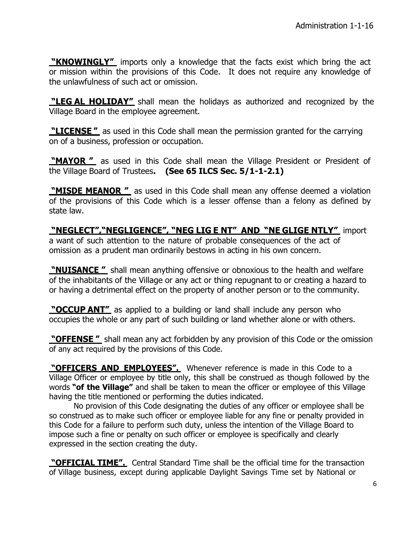**"KNOWINGLY"** imports only a knowledge that the facts exist which bring the act or mission within the provisions of this Code. It does not require any knowledge of the unlawfulness of such act or omission.

**"LEG AL HOLIDAY"** shall mean the holidays as authorized and recognized by the Village Board in the employee agreement.

**"LICENSE "** as used in this Code shall mean the permission granted for the carrying on of a business, profession or occupation.

**"MAYOR "** as used in this Code shall mean the Village President or President of the Village Board of Trustees**. (See 65 ILCS Sec. 5/1-1-2.1)**

**"MISDE MEANOR "** as used in this Code shall mean any offense deemed a violation of the provisions of this Code which is a lesser offense than a felony as defined by state law.

**"NEGLECT","NEGLIGENCE", "NEG LIG E NT" AND "NE GLIGE NTLY"** import a want of such attention to the nature of probable consequences of the act of omission as a prudent man ordinarily bestows in acting in his own concern.

**"NUISANCE "** shall mean anything offensive or obnoxious to the health and welfare of the inhabitants of the Village or any act or thing repugnant to or creating a hazard to or having a detrimental effect on the property of another person or to the community.

**"OCCUP ANT"** as applied to a building or land shall include any person who occupies the whole or any part of such building or land whether alone or with others.

**"OFFENSE "** shall mean any act forbidden by any provision of this Code or the omission of any act required by the provisions of this Code.

**"OFFICERS AND EMPLOYEES".** Whenever reference is made in this Code to a Village Officer or employee by title only, this shall be construed as though followed by the words **"of the Village"** and shall be taken to mean the officer or employee of this Village having the title mentioned or performing the duties indicated.

No provision of this Code designating the duties of any officer or employee shall be so construed as to make such officer or employee liable for any fine or penalty provided in this Code for a failure to perform such duty, unless the intention of the Village Board to impose such a fine or penalty on such officer or employee is specifically and clearly expressed in the section creating the duty.

**"OFFICIAL TIME".** Central Standard Time shall be the official time for the transaction of Village business, except during applicable Daylight Savings Time set by National or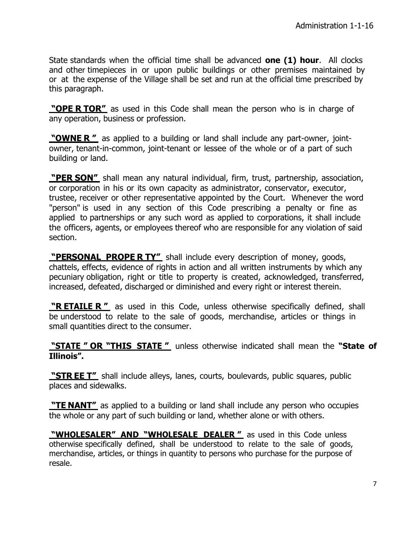State standards when the official time shall be advanced **one (1) hour**. All clocks and other timepieces in or upon public buildings or other premises maintained by or at the expense of the Village shall be set and run at the official time prescribed by this paragraph.

**"OPE R TOR"** as used in this Code shall mean the person who is in charge of any operation, business or profession.

**"OWNE R "** as applied to a building or land shall include any part-owner, jointowner, tenant-in-common, joint-tenant or lessee of the whole or of a part of such building or land.

**"PER SON"** shall mean any natural individual, firm, trust, partnership, association, or corporation in his or its own capacity as administrator, conservator, executor, trustee, receiver or other representative appointed by the Court. Whenever the word "person" is used in any section of this Code prescribing a penalty or fine as applied to partnerships or any such word as applied to corporations, it shall include the officers, agents, or employees thereof who are responsible for any violation of said section.

**"PERSONAL PROPE R TY"** shall include every description of money, goods, chattels, effects, evidence of rights in action and all written instruments by which any pecuniary obligation, right or title to property is created, acknowledged, transferred, increased, defeated, discharged or diminished and every right or interest therein.

**"R ETAILE R "** as used in this Code, unless otherwise specifically defined, shall be understood to relate to the sale of goods, merchandise, articles or things in small quantities direct to the consumer.

**"STATE " OR "THIS STATE "** unless otherwise indicated shall mean the **"State of Illinois".**

**"STR EE T"** shall include alleys, lanes, courts, boulevards, public squares, public places and sidewalks.

**"TE NANT"** as applied to a building or land shall include any person who occupies the whole or any part of such building or land, whether alone or with others.

**"WHOLESALER" AND "WHOLESALE DEALER "** as used in this Code unless otherwise specifically defined, shall be understood to relate to the sale of goods, merchandise, articles, or things in quantity to persons who purchase for the purpose of resale.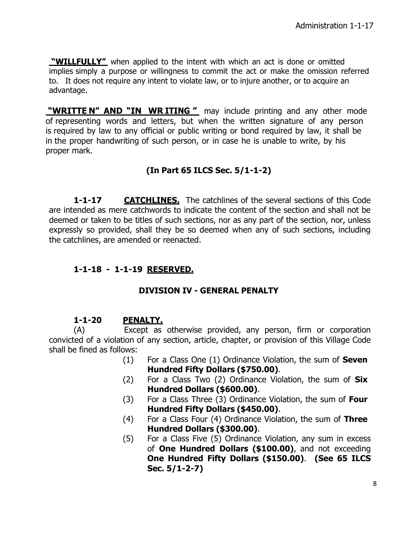**"WILLFULLY"** when applied to the intent with which an act is done or omitted implies simply a purpose or willingness to commit the act or make the omission referred to. It does not require any intent to violate law, or to injure another, or to acquire an advantage.

**"WRITTE N" AND "IN WR ITING "** may include printing and any other mode of representing words and letters, but when the written signature of any person is required by law to any official or public writing or bond required by law, it shall be in the proper handwriting of such person, or in case he is unable to write, by his proper mark.

# **(In Part 65 ILCS Sec. 5/1-1-2)**

**1-1-17 CATCHLINES.** The catchlines of the several sections of this Code are intended as mere catchwords to indicate the content of the section and shall not be deemed or taken to be titles of such sections, nor as any part of the section, nor, unless expressly so provided, shall they be so deemed when any of such sections, including the catchlines, are amended or reenacted.

# **1-1-18 - 1-1-19 RESERVED.**

# **DIVISION IV - GENERAL PENALTY**

# **1-1-20 PENALTY.**

(A) Except as otherwise provided, any person, firm or corporation convicted of a violation of any section, article, chapter, or provision of this Village Code shall be fined as follows:

- (1) For a Class One (1) Ordinance Violation, the sum of **Seven Hundred Fifty Dollars (\$750.00)**.
- (2) For a Class Two (2) Ordinance Violation, the sum of **Six Hundred Dollars (\$600.00)**.
- (3) For a Class Three (3) Ordinance Violation, the sum of **Four Hundred Fifty Dollars (\$450.00)**.
- (4) For a Class Four (4) Ordinance Violation, the sum of **Three Hundred Dollars (\$300.00)**.
- (5) For a Class Five (5) Ordinance Violation, any sum in excess of **One Hundred Dollars (\$100.00)**, and not exceeding **One Hundred Fifty Dollars (\$150.00)**. **(See 65 ILCS Sec. 5/1-2-7)**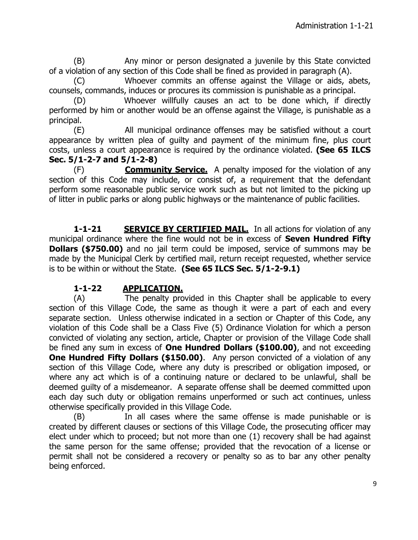(B) Any minor or person designated a juvenile by this State convicted of a violation of any section of this Code shall be fined as provided in paragraph (A).

(C) Whoever commits an offense against the Village or aids, abets, counsels, commands, induces or procures its commission is punishable as a principal.

(D) Whoever willfully causes an act to be done which, if directly performed by him or another would be an offense against the Village, is punishable as a principal.

(E) All municipal ordinance offenses may be satisfied without a court appearance by written plea of guilty and payment of the minimum fine, plus court costs, unless a court appearance is required by the ordinance violated. **(See 65 ILCS Sec. 5/1-2-7 and 5/1-2-8)**

(F) **Community Service.** A penalty imposed for the violation of any section of this Code may include, or consist of, a requirement that the defendant perform some reasonable public service work such as but not limited to the picking up of litter in public parks or along public highways or the maintenance of public facilities.

**1-1-21 SERVICE BY CERTIFIED MAIL.** In all actions for violation of any municipal ordinance where the fine would not be in excess of **Seven Hundred Fifty Dollars (\$750.00)** and no jail term could be imposed, service of summons may be made by the Municipal Clerk by certified mail, return receipt requested, whether service is to be within or without the State. **(See 65 ILCS Sec. 5/1-2-9.1)**

## **1-1-22 APPLICATION.**

(A) The penalty provided in this Chapter shall be applicable to every section of this Village Code, the same as though it were a part of each and every separate section. Unless otherwise indicated in a section or Chapter of this Code, any violation of this Code shall be a Class Five (5) Ordinance Violation for which a person convicted of violating any section, article, Chapter or provision of the Village Code shall be fined any sum in excess of **One Hundred Dollars (\$100.00)**, and not exceeding **One Hundred Fifty Dollars (\$150.00)**. Any person convicted of a violation of any section of this Village Code, where any duty is prescribed or obligation imposed, or where any act which is of a continuing nature or declared to be unlawful, shall be deemed guilty of a misdemeanor. A separate offense shall be deemed committed upon each day such duty or obligation remains unperformed or such act continues, unless otherwise specifically provided in this Village Code.

(B) In all cases where the same offense is made punishable or is created by different clauses or sections of this Village Code, the prosecuting officer may elect under which to proceed; but not more than one (1) recovery shall be had against the same person for the same offense; provided that the revocation of a license or permit shall not be considered a recovery or penalty so as to bar any other penalty being enforced.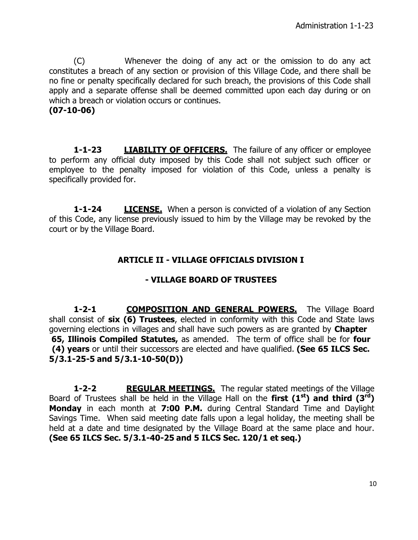(C) Whenever the doing of any act or the omission to do any act constitutes a breach of any section or provision of this Village Code, and there shall be no fine or penalty specifically declared for such breach, the provisions of this Code shall apply and a separate offense shall be deemed committed upon each day during or on which a breach or violation occurs or continues.

#### **(07-10-06)**

**1-1-23 LIABILITY OF OFFICERS.** The failure of any officer or employee to perform any official duty imposed by this Code shall not subject such officer or employee to the penalty imposed for violation of this Code, unless a penalty is specifically provided for.

**1-1-24 LICENSE.** When a person is convicted of a violation of any Section of this Code, any license previously issued to him by the Village may be revoked by the court or by the Village Board.

# **ARTICLE II - VILLAGE OFFICIALS DIVISION I**

## **- VILLAGE BOARD OF TRUSTEES**

**1-2-1 COMPOSITION AND GENERAL POWERS.** The Village Board shall consist of **six (6) Trustees**, elected in conformity with this Code and State laws governing elections in villages and shall have such powers as are granted by **Chapter 65, Illinois Compiled Statutes,** as amended. The term of office shall be for **four (4) years** or until their successors are elected and have qualified. **(See 65 ILCS Sec. 5/3.1-25-5 and 5/3.1-10-50(D))**

**1-2-2 REGULAR MEETINGS.** The regular stated meetings of the Village Board of Trustees shall be held in the Village Hall on the **first (1 st ) and third (3 rd) Monday** in each month at **7:00 P.M.** during Central Standard Time and Daylight Savings Time. When said meeting date falls upon a legal holiday, the meeting shall be held at a date and time designated by the Village Board at the same place and hour. **(See 65 ILCS Sec. 5/3.1-40-25 and 5 ILCS Sec. 120/1 et seq.)**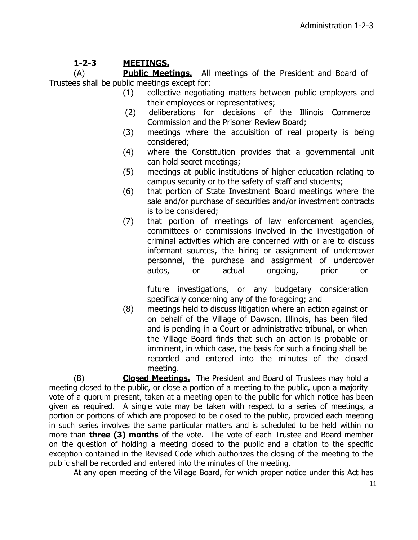# **1-2-3 MEETINGS.**

(A) **Public Meetings.** All meetings of the President and Board of Trustees shall be public meetings except for:

- (1) collective negotiating matters between public employers and their employees or representatives;
- (2) deliberations for decisions of the Illinois Commerce Commission and the Prisoner Review Board;
- (3) meetings where the acquisition of real property is being considered;
- (4) where the Constitution provides that a governmental unit can hold secret meetings;
- (5) meetings at public institutions of higher education relating to campus security or to the safety of staff and students;
- (6) that portion of State Investment Board meetings where the sale and/or purchase of securities and/or investment contracts is to be considered;
- (7) that portion of meetings of law enforcement agencies, committees or commissions involved in the investigation of criminal activities which are concerned with or are to discuss informant sources, the hiring or assignment of undercover personnel, the purchase and assignment of undercover autos, or actual ongoing, prior or

future investigations, or any budgetary consideration specifically concerning any of the foregoing; and

(8) meetings held to discuss litigation where an action against or on behalf of the Village of Dawson, Illinois, has been filed and is pending in a Court or administrative tribunal, or when the Village Board finds that such an action is probable or imminent, in which case, the basis for such a finding shall be recorded and entered into the minutes of the closed meeting.

(B) **Closed Meetings.** The President and Board of Trustees may hold a meeting closed to the public, or close a portion of a meeting to the public, upon a majority vote of a quorum present, taken at a meeting open to the public for which notice has been given as required. A single vote may be taken with respect to a series of meetings, a portion or portions of which are proposed to be closed to the public, provided each meeting in such series involves the same particular matters and is scheduled to be held within no more than **three (3) months** of the vote. The vote of each Trustee and Board member on the question of holding a meeting closed to the public and a citation to the specific exception contained in the Revised Code which authorizes the closing of the meeting to the public shall be recorded and entered into the minutes of the meeting.

At any open meeting of the Village Board, for which proper notice under this Act has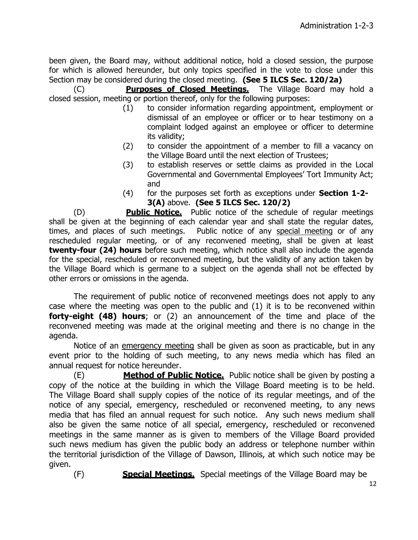been given, the Board may, without additional notice, hold a closed session, the purpose for which is allowed hereunder, but only topics specified in the vote to close under this Section may be considered during the closed meeting. **(See 5 ILCS Sec. 120/2a)**

(C) **Purposes of Closed Meetings.** The Village Board may hold a closed session, meeting or portion thereof, only for the following purposes:

- (1) to consider information regarding appointment, employment or dismissal of an employee or officer or to hear testimony on a complaint lodged against an employee or officer to determine its validity;
- (2) to consider the appointment of a member to fill a vacancy on the Village Board until the next election of Trustees;
- (3) to establish reserves or settle claims as provided in the Local Governmental and Governmental Employees' Tort Immunity Act; and
- (4) for the purposes set forth as exceptions under **Section 1-2- 3(A)** above. **(See 5 ILCS Sec. 120/2)**

(D) **Public Notice.** Public notice of the schedule of regular meetings shall be given at the beginning of each calendar year and shall state the regular dates, times, and places of such meetings. Public notice of any special meeting or of any rescheduled regular meeting, or of any reconvened meeting, shall be given at least **twenty-four (24) hours** before such meeting, which notice shall also include the agenda for the special, rescheduled or reconvened meeting, but the validity of any action taken by the Village Board which is germane to a subject on the agenda shall not be effected by other errors or omissions in the agenda.

The requirement of public notice of reconvened meetings does not apply to any case where the meeting was open to the public and (1) it is to be reconvened within **forty-eight (48) hours**; or (2) an announcement of the time and place of the reconvened meeting was made at the original meeting and there is no change in the agenda.

Notice of an emergency meeting shall be given as soon as practicable, but in any event prior to the holding of such meeting, to any news media which has filed an annual request for notice hereunder.

(E) **Method of Public Notice.** Public notice shall be given by posting a copy of the notice at the building in which the Village Board meeting is to be held. The Village Board shall supply copies of the notice of its regular meetings, and of the notice of any special, emergency, rescheduled or reconvened meeting, to any news media that has filed an annual request for such notice. Any such news medium shall also be given the same notice of all special, emergency, rescheduled or reconvened meetings in the same manner as is given to members of the Village Board provided such news medium has given the public body an address or telephone number within the territorial jurisdiction of the Village of Dawson, Illinois, at which such notice may be given.

(F) **Special Meetings.** Special meetings of the Village Board may be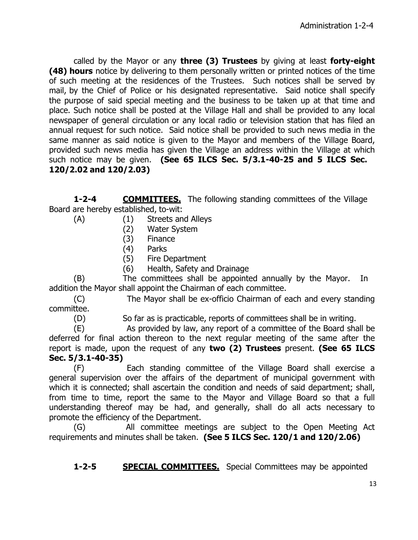called by the Mayor or any **three (3) Trustees** by giving at least **forty-eight (48) hours** notice by delivering to them personally written or printed notices of the time of such meeting at the residences of the Trustees. Such notices shall be served by mail, by the Chief of Police or his designated representative. Said notice shall specify the purpose of said special meeting and the business to be taken up at that time and place. Such notice shall be posted at the Village Hall and shall be provided to any local newspaper of general circulation or any local radio or television station that has filed an annual request for such notice. Said notice shall be provided to such news media in the same manner as said notice is given to the Mayor and members of the Village Board, provided such news media has given the Village an address within the Village at which such notice may be given. **(See 65 ILCS Sec. 5/3.1-40-25 and 5 ILCS Sec. 120/2.02 and 120/2.03)**

**1-2-4 COMMITTEES.** The following standing committees of the Village Board are hereby established, to-wit:

- (A) (1) Streets and Alleys
	- (2) Water System
	- (3) Finance
	- (4) Parks
	- (5) Fire Department
	- (6) Health, Safety and Drainage

(B) The committees shall be appointed annually by the Mayor. In addition the Mayor shall appoint the Chairman of each committee.

(C) The Mayor shall be ex-officio Chairman of each and every standing committee.

(D) So far as is practicable, reports of committees shall be in writing.

(E) As provided by law, any report of a committee of the Board shall be deferred for final action thereon to the next regular meeting of the same after the report is made, upon the request of any **two (2) Trustees** present. **(See 65 ILCS Sec. 5/3.1-40-35)**

(F) Each standing committee of the Village Board shall exercise a general supervision over the affairs of the department of municipal government with which it is connected; shall ascertain the condition and needs of said department; shall, from time to time, report the same to the Mayor and Village Board so that a full understanding thereof may be had, and generally, shall do all acts necessary to promote the efficiency of the Department.

(G) All committee meetings are subject to the Open Meeting Act requirements and minutes shall be taken. **(See 5 ILCS Sec. 120/1 and 120/2.06)**

**1-2-5 SPECIAL COMMITTEES.** Special Committees may be appointed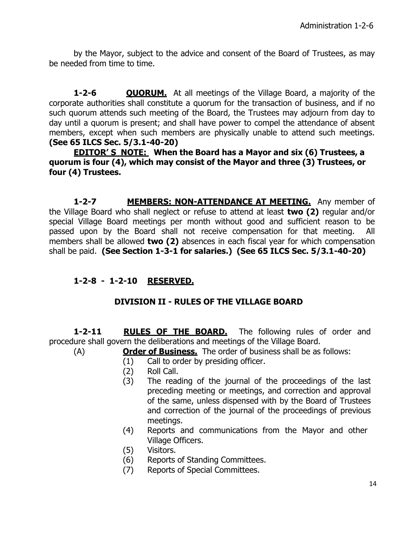by the Mayor, subject to the advice and consent of the Board of Trustees, as may be needed from time to time.

**1-2-6 QUORUM.** At all meetings of the Village Board, a majority of the corporate authorities shall constitute a quorum for the transaction of business, and if no such quorum attends such meeting of the Board, the Trustees may adjourn from day to day until a quorum is present; and shall have power to compel the attendance of absent members, except when such members are physically unable to attend such meetings. **(See 65 ILCS Sec. 5/3.1-40-20)**

**EDITOR' S NOTE: When the Board has a Mayor and six (6) Trustees, a quorum is four (4), which may consist of the Mayor and three (3) Trustees, or four (4) Trustees.**

**1-2-7 MEMBERS: NON-ATTENDANCE AT MEETING.** Any member of the Village Board who shall neglect or refuse to attend at least **two (2)** regular and/or special Village Board meetings per month without good and sufficient reason to be passed upon by the Board shall not receive compensation for that meeting. All members shall be allowed **two (2)** absences in each fiscal year for which compensation shall be paid. **(See Section 1-3-1 for salaries.) (See 65 ILCS Sec. 5/3.1-40-20)**

# **1-2-8 - 1-2-10 RESERVED.**

# **DIVISION II - RULES OF THE VILLAGE BOARD**

**1-2-11 RULES OF THE BOARD.** The following rules of order and procedure shall govern the deliberations and meetings of the Village Board.

- (A) **Order of Business.** The order of business shall be as follows:
	- (1) Call to order by presiding officer.
	- (2) Roll Call.
	- (3) The reading of the journal of the proceedings of the last preceding meeting or meetings, and correction and approval of the same, unless dispensed with by the Board of Trustees and correction of the journal of the proceedings of previous meetings.
	- (4) Reports and communications from the Mayor and other Village Officers.
	- (5) Visitors.
	- (6) Reports of Standing Committees.
	- (7) Reports of Special Committees.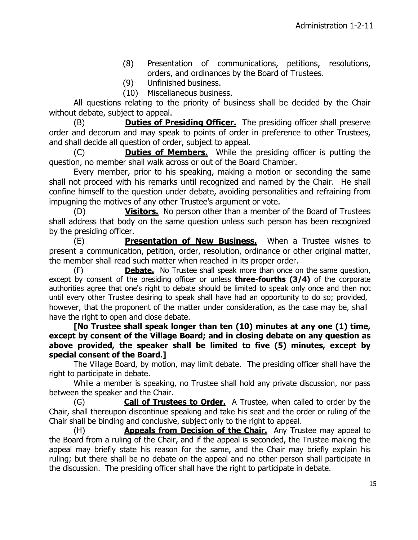- (8) Presentation of communications, petitions, resolutions, orders, and ordinances by the Board of Trustees.
- (9) Unfinished business.
- (10) Miscellaneous business.

All questions relating to the priority of business shall be decided by the Chair without debate, subject to appeal.

(B) **Duties of Presiding Officer.** The presiding officer shall preserve order and decorum and may speak to points of order in preference to other Trustees, and shall decide all question of order, subject to appeal.

(C) **Duties of Members.** While the presiding officer is putting the question, no member shall walk across or out of the Board Chamber.

Every member, prior to his speaking, making a motion or seconding the same shall not proceed with his remarks until recognized and named by the Chair. He shall confine himself to the question under debate, avoiding personalities and refraining from impugning the motives of any other Trustee's argument or vote.

(D) **Visitors.** No person other than a member of the Board of Trustees shall address that body on the same question unless such person has been recognized by the presiding officer.

(E) **Presentation of New Business.** When a Trustee wishes to present a communication, petition, order, resolution, ordinance or other original matter, the member shall read such matter when reached in its proper order.

(F) **Debate.** No Trustee shall speak more than once on the same question, except by consent of the presiding officer or unless **three-fourths (3/4)** of the corporate authorities agree that one's right to debate should be limited to speak only once and then not until every other Trustee desiring to speak shall have had an opportunity to do so; provided, however, that the proponent of the matter under consideration, as the case may be, shall have the right to open and close debate.

**[No Trustee shall speak longer than ten (10) minutes at any one (1) time, except by consent of the Village Board; and in closing debate on any question as above provided, the speaker shall be limited to five (5) minutes, except by special consent of the Board.]**

The Village Board, by motion, may limit debate. The presiding officer shall have the right to participate in debate.

While a member is speaking, no Trustee shall hold any private discussion, nor pass between the speaker and the Chair.

(G) **Call of Trustees to Order.** A Trustee, when called to order by the Chair, shall thereupon discontinue speaking and take his seat and the order or ruling of the Chair shall be binding and conclusive, subject only to the right to appeal.

(H) **Appeals from Decision of the Chair.** Any Trustee may appeal to the Board from a ruling of the Chair, and if the appeal is seconded, the Trustee making the appeal may briefly state his reason for the same, and the Chair may briefly explain his ruling; but there shall be no debate on the appeal and no other person shall participate in the discussion. The presiding officer shall have the right to participate in debate.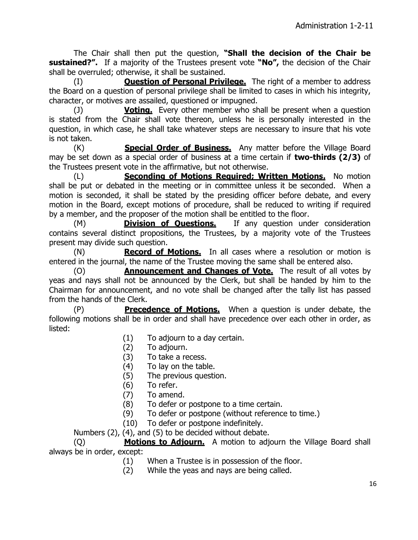The Chair shall then put the question, **"Shall the decision of the Chair be sustained?".** If a majority of the Trustees present vote **"No",** the decision of the Chair shall be overruled; otherwise, it shall be sustained.

(I) **Question of Personal Privilege.** The right of a member to address the Board on a question of personal privilege shall be limited to cases in which his integrity, character, or motives are assailed, questioned or impugned.

(J) **Voting.** Every other member who shall be present when a question is stated from the Chair shall vote thereon, unless he is personally interested in the question, in which case, he shall take whatever steps are necessary to insure that his vote is not taken.

(K) **Special Order of Business.** Any matter before the Village Board may be set down as a special order of business at a time certain if **two-thirds (2/3)** of the Trustees present vote in the affirmative, but not otherwise.

(L) **Seconding of Motions Required; Written Motions.** No motion shall be put or debated in the meeting or in committee unless it be seconded. When a motion is seconded, it shall be stated by the presiding officer before debate, and every motion in the Board, except motions of procedure, shall be reduced to writing if required by a member, and the proposer of the motion shall be entitled to the floor.

(M) **Division of Questions.** If any question under consideration contains several distinct propositions, the Trustees, by a majority vote of the Trustees present may divide such question.

(N) **Record of Motions.** In all cases where a resolution or motion is entered in the journal, the name of the Trustee moving the same shall be entered also.

(O) **Announcement and Changes of Vote.** The result of all votes by yeas and nays shall not be announced by the Clerk, but shall be handed by him to the Chairman for announcement, and no vote shall be changed after the tally list has passed from the hands of the Clerk.

(P) **Precedence of Motions.** When a question is under debate, the following motions shall be in order and shall have precedence over each other in order, as listed:

- (1) To adjourn to a day certain.
- (2) To adjourn.
- (3) To take a recess.
- (4) To lay on the table.
- (5) The previous question.
- (6) To refer.
- (7) To amend.
- (8) To defer or postpone to a time certain.
- (9) To defer or postpone (without reference to time.)
- (10) To defer or postpone indefinitely.

Numbers  $(2)$ ,  $(4)$ , and  $(5)$  to be decided without debate.

(Q) **Motions to Adjourn.** A motion to adjourn the Village Board shall always be in order, except:

- (1) When a Trustee is in possession of the floor.
- (2) While the yeas and nays are being called.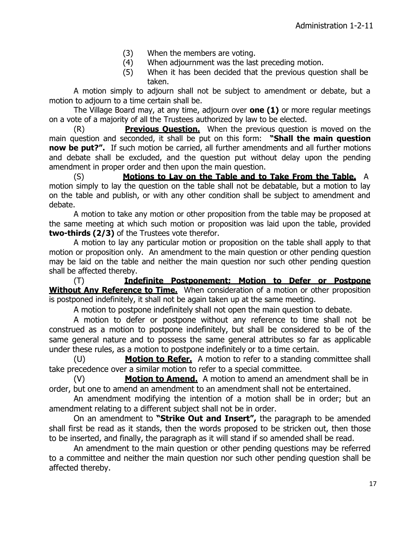- (3) When the members are voting.
- (4) When adjournment was the last preceding motion.
- (5) When it has been decided that the previous question shall be taken.

A motion simply to adjourn shall not be subject to amendment or debate, but a motion to adjourn to a time certain shall be.

The Village Board may, at any time, adjourn over **one (1)** or more regular meetings on a vote of a majority of all the Trustees authorized by law to be elected.

(R) **Previous Question.** When the previous question is moved on the main question and seconded, it shall be put on this form: **"Shall the main question now be put?".** If such motion be carried, all further amendments and all further motions and debate shall be excluded, and the question put without delay upon the pending amendment in proper order and then upon the main question.

(S) **Motions to Lay on the Table and to Take From the Table.** A motion simply to lay the question on the table shall not be debatable, but a motion to lay on the table and publish, or with any other condition shall be subject to amendment and debate.

A motion to take any motion or other proposition from the table may be proposed at the same meeting at which such motion or proposition was laid upon the table, provided **two-thirds (2/3)** of the Trustees vote therefor.

A motion to lay any particular motion or proposition on the table shall apply to that motion or proposition only. An amendment to the main question or other pending question may be laid on the table and neither the main question nor such other pending question shall be affected thereby.

(T) **Indefinite Postponement; Motion to Defer or Postpone Without Any Reference to Time.** When consideration of a motion or other proposition is postponed indefinitely, it shall not be again taken up at the same meeting.

A motion to postpone indefinitely shall not open the main question to debate.

A motion to defer or postpone without any reference to time shall not be construed as a motion to postpone indefinitely, but shall be considered to be of the same general nature and to possess the same general attributes so far as applicable under these rules, as a motion to postpone indefinitely or to a time certain.

(U) **Motion to Refer.** A motion to refer to a standing committee shall take precedence over a similar motion to refer to a special committee.

(V) **Motion to Amend.** A motion to amend an amendment shall be in order, but one to amend an amendment to an amendment shall not be entertained.

An amendment modifying the intention of a motion shall be in order; but an amendment relating to a different subject shall not be in order.

On an amendment to **"Strike Out and Insert",** the paragraph to be amended shall first be read as it stands, then the words proposed to be stricken out, then those to be inserted, and finally, the paragraph as it will stand if so amended shall be read.

An amendment to the main question or other pending questions may be referred to a committee and neither the main question nor such other pending question shall be affected thereby.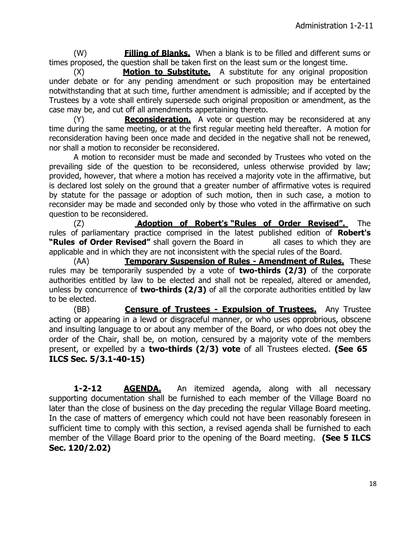(W) **Filling of Blanks.** When a blank is to be filled and different sums or times proposed, the question shall be taken first on the least sum or the longest time.

(X) **Motion to Substitute.** A substitute for any original proposition under debate or for any pending amendment or such proposition may be entertained notwithstanding that at such time, further amendment is admissible; and if accepted by the Trustees by a vote shall entirely supersede such original proposition or amendment, as the case may be, and cut off all amendments appertaining thereto.

(Y) **Reconsideration.** A vote or question may be reconsidered at any time during the same meeting, or at the first regular meeting held thereafter. A motion for reconsideration having been once made and decided in the negative shall not be renewed, nor shall a motion to reconsider be reconsidered.

A motion to reconsider must be made and seconded by Trustees who voted on the prevailing side of the question to be reconsidered, unless otherwise provided by law; provided, however, that where a motion has received a majority vote in the affirmative, but is declared lost solely on the ground that a greater number of affirmative votes is required by statute for the passage or adoption of such motion, then in such case, a motion to reconsider may be made and seconded only by those who voted in the affirmative on such question to be reconsidered.

(Z) **Adoption of Robert's "Rules of Order Revised".** The rules of parliamentary practice comprised in the latest published edition of **Robert's "Rules of Order Revised"** shall govern the Board in all cases to which they are applicable and in which they are not inconsistent with the special rules of the Board.

(AA) **Temporary Suspension of Rules - Amendment of Rules.** These rules may be temporarily suspended by a vote of **two-thirds (2/3)** of the corporate authorities entitled by law to be elected and shall not be repealed, altered or amended, unless by concurrence of **two-thirds (2/3)** of all the corporate authorities entitled by law to be elected.

(BB) **Censure of Trustees - Expulsion of Trustees.** Any Trustee acting or appearing in a lewd or disgraceful manner, or who uses opprobrious, obscene and insulting language to or about any member of the Board, or who does not obey the order of the Chair, shall be, on motion, censured by a majority vote of the members present, or expelled by a **two-thirds (2/3) vote** of all Trustees elected. **(See 65 ILCS Sec. 5/3.1-40-15)**

**1-2-12 AGENDA.** An itemized agenda, along with all necessary supporting documentation shall be furnished to each member of the Village Board no later than the close of business on the day preceding the regular Village Board meeting. In the case of matters of emergency which could not have been reasonably foreseen in sufficient time to comply with this section, a revised agenda shall be furnished to each member of the Village Board prior to the opening of the Board meeting. **(See 5 ILCS Sec. 120/2.02)**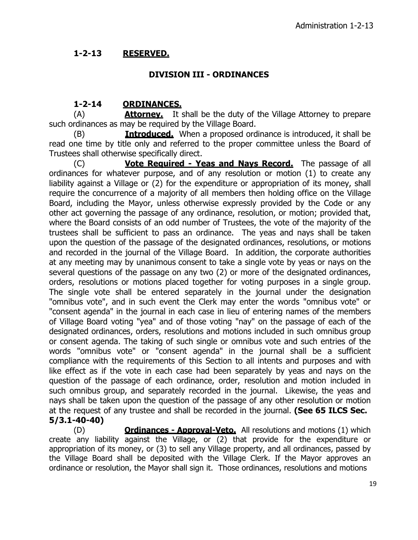# **1-2-13 RESERVED.**

### **DIVISION III - ORDINANCES**

## **1-2-14 ORDINANCES.**

(A) **Attorney.** It shall be the duty of the Village Attorney to prepare such ordinances as may be required by the Village Board.

(B) **Introduced.** When a proposed ordinance is introduced, it shall be read one time by title only and referred to the proper committee unless the Board of Trustees shall otherwise specifically direct.

(C) **Vote Required - Yeas and Nays Record.** The passage of all ordinances for whatever purpose, and of any resolution or motion (1) to create any liability against a Village or (2) for the expenditure or appropriation of its money, shall require the concurrence of a majority of all members then holding office on the Village Board, including the Mayor, unless otherwise expressly provided by the Code or any other act governing the passage of any ordinance, resolution, or motion; provided that, where the Board consists of an odd number of Trustees, the vote of the majority of the trustees shall be sufficient to pass an ordinance. The yeas and nays shall be taken upon the question of the passage of the designated ordinances, resolutions, or motions and recorded in the journal of the Village Board. In addition, the corporate authorities at any meeting may by unanimous consent to take a single vote by yeas or nays on the several questions of the passage on any two (2) or more of the designated ordinances, orders, resolutions or motions placed together for voting purposes in a single group. The single vote shall be entered separately in the journal under the designation "omnibus vote", and in such event the Clerk may enter the words "omnibus vote" or "consent agenda" in the journal in each case in lieu of entering names of the members of Village Board voting "yea" and of those voting "nay" on the passage of each of the designated ordinances, orders, resolutions and motions included in such omnibus group or consent agenda. The taking of such single or omnibus vote and such entries of the words "omnibus vote" or "consent agenda" in the journal shall be a sufficient compliance with the requirements of this Section to all intents and purposes and with like effect as if the vote in each case had been separately by yeas and nays on the question of the passage of each ordinance, order, resolution and motion included in such omnibus group, and separately recorded in the journal. Likewise, the yeas and nays shall be taken upon the question of the passage of any other resolution or motion at the request of any trustee and shall be recorded in the journal. **(See 65 ILCS Sec. 5/3.1-40-40)**

(D) **Ordinances - Approval-Veto.** All resolutions and motions (1) which create any liability against the Village, or (2) that provide for the expenditure or appropriation of its money, or (3) to sell any Village property, and all ordinances, passed by the Village Board shall be deposited with the Village Clerk. If the Mayor approves an ordinance or resolution, the Mayor shall sign it. Those ordinances, resolutions and motions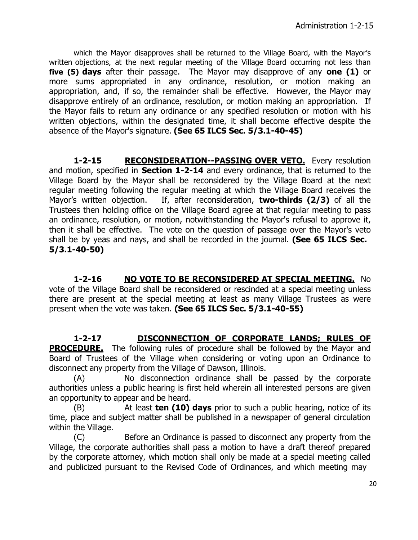which the Mayor disapproves shall be returned to the Village Board, with the Mayor's written objections, at the next regular meeting of the Village Board occurring not less than **five (5) days** after their passage. The Mayor may disapprove of any **one (1)** or more sums appropriated in any ordinance, resolution, or motion making an appropriation, and, if so, the remainder shall be effective. However, the Mayor may disapprove entirely of an ordinance, resolution, or motion making an appropriation. If the Mayor fails to return any ordinance or any specified resolution or motion with his written objections, within the designated time, it shall become effective despite the absence of the Mayor's signature. **(See 65 ILCS Sec. 5/3.1-40-45)**

**1-2-15 RECONSIDERATION--PASSING OVER VETO.** Every resolution and motion, specified in **Section 1-2-14** and every ordinance, that is returned to the Village Board by the Mayor shall be reconsidered by the Village Board at the next regular meeting following the regular meeting at which the Village Board receives the Mayor's written objection. If, after reconsideration, **two-thirds (2/3)** of all the Trustees then holding office on the Village Board agree at that regular meeting to pass an ordinance, resolution, or motion, notwithstanding the Mayor's refusal to approve it, then it shall be effective. The vote on the question of passage over the Mayor's veto shall be by yeas and nays, and shall be recorded in the journal. **(See 65 ILCS Sec. 5/3.1-40-50)**

**1-2-16 NO VOTE TO BE RECONSIDERED AT SPECIAL MEETING.** No vote of the Village Board shall be reconsidered or rescinded at a special meeting unless there are present at the special meeting at least as many Village Trustees as were present when the vote was taken. **(See 65 ILCS Sec. 5/3.1-40-55)**

**1-2-17 DISCONNECTION OF CORPORATE LANDS; RULES OF PROCEDURE.** The following rules of procedure shall be followed by the Mayor and Board of Trustees of the Village when considering or voting upon an Ordinance to disconnect any property from the Village of Dawson, Illinois.

(A) No disconnection ordinance shall be passed by the corporate authorities unless a public hearing is first held wherein all interested persons are given an opportunity to appear and be heard.

(B) At least **ten (10) days** prior to such a public hearing, notice of its time, place and subject matter shall be published in a newspaper of general circulation within the Village.

(C) Before an Ordinance is passed to disconnect any property from the Village, the corporate authorities shall pass a motion to have a draft thereof prepared by the corporate attorney, which motion shall only be made at a special meeting called and publicized pursuant to the Revised Code of Ordinances, and which meeting may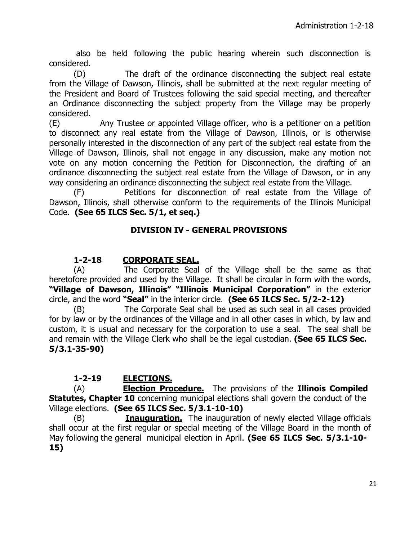also be held following the public hearing wherein such disconnection is considered.

(D) The draft of the ordinance disconnecting the subject real estate from the Village of Dawson, Illinois, shall be submitted at the next regular meeting of the President and Board of Trustees following the said special meeting, and thereafter an Ordinance disconnecting the subject property from the Village may be properly considered.

(E) Any Trustee or appointed Village officer, who is a petitioner on a petition to disconnect any real estate from the Village of Dawson, Illinois, or is otherwise personally interested in the disconnection of any part of the subject real estate from the Village of Dawson, Illinois, shall not engage in any discussion, make any motion not vote on any motion concerning the Petition for Disconnection, the drafting of an ordinance disconnecting the subject real estate from the Village of Dawson, or in any way considering an ordinance disconnecting the subject real estate from the Village.

(F) Petitions for disconnection of real estate from the Village of Dawson, Illinois, shall otherwise conform to the requirements of the Illinois Municipal Code. **(See 65 ILCS Sec. 5/1, et seq.)**

# **DIVISION IV - GENERAL PROVISIONS**

# **1-2-18 CORPORATE SEAL.**

(A) The Corporate Seal of the Village shall be the same as that heretofore provided and used by the Village. It shall be circular in form with the words, **"Village of Dawson, Illinois" "Illinois Municipal Corporation"** in the exterior circle, and the word **"Seal"** in the interior circle. **(See 65 ILCS Sec. 5/2-2-12)**

(B) The Corporate Seal shall be used as such seal in all cases provided for by law or by the ordinances of the Village and in all other cases in which, by law and custom, it is usual and necessary for the corporation to use a seal. The seal shall be and remain with the Village Clerk who shall be the legal custodian. **(See 65 ILCS Sec. 5/3.1-35-90)**

# **1-2-19 ELECTIONS.**

(A) **Election Procedure.** The provisions of the **Illinois Compiled Statutes, Chapter 10** concerning municipal elections shall govern the conduct of the Village elections. **(See 65 ILCS Sec. 5/3.1-10-10)**

(B) **Inauguration.** The inauguration of newly elected Village officials shall occur at the first regular or special meeting of the Village Board in the month of May following the general municipal election in April. **(See 65 ILCS Sec. 5/3.1-10- 15)**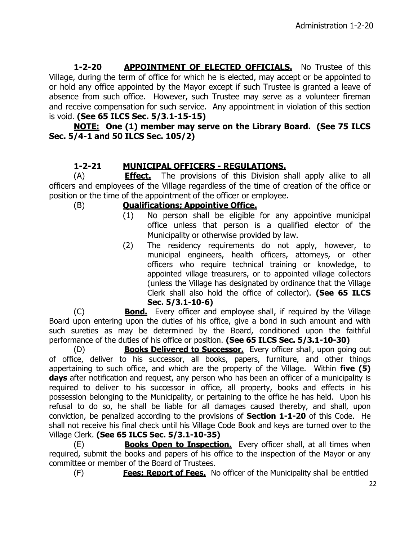**1-2-20 APPOINTMENT OF ELECTED OFFICIALS.** No Trustee of this Village, during the term of office for which he is elected, may accept or be appointed to or hold any office appointed by the Mayor except if such Trustee is granted a leave of absence from such office. However, such Trustee may serve as a volunteer fireman and receive compensation for such service. Any appointment in violation of this section is void. **(See 65 ILCS Sec. 5/3.1-15-15)**

# **NOTE: One (1) member may serve on the Library Board. (See 75 ILCS Sec. 5/4-1 and 50 ILCS Sec. 105/2)**

# **1-2-21 MUNICIPAL OFFICERS - REGULATIONS.**

(A) **Effect.** The provisions of this Division shall apply alike to all officers and employees of the Village regardless of the time of creation of the office or position or the time of the appointment of the officer or employee.

## (B) **Qualifications; Appointive Office.**

- (1) No person shall be eligible for any appointive municipal office unless that person is a qualified elector of the Municipality or otherwise provided by law.
- (2) The residency requirements do not apply, however, to municipal engineers, health officers, attorneys, or other officers who require technical training or knowledge, to appointed village treasurers, or to appointed village collectors (unless the Village has designated by ordinance that the Village Clerk shall also hold the office of collector). **(See 65 ILCS Sec. 5/3.1-10-6)**

(C) **Bond.** Every officer and employee shall, if required by the Village Board upon entering upon the duties of his office, give a bond in such amount and with such sureties as may be determined by the Board, conditioned upon the faithful performance of the duties of his office or position. **(See 65 ILCS Sec. 5/3.1-10-30)**

(D) **Books Delivered to Successor.** Every officer shall, upon going out of office, deliver to his successor, all books, papers, furniture, and other things appertaining to such office, and which are the property of the Village. Within **five (5) days** after notification and request, any person who has been an officer of a municipality is required to deliver to his successor in office, all property, books and effects in his possession belonging to the Municipality, or pertaining to the office he has held. Upon his refusal to do so, he shall be liable for all damages caused thereby, and shall, upon conviction, be penalized according to the provisions of **Section 1-1-20** of this Code. He shall not receive his final check until his Village Code Book and keys are turned over to the Village Clerk. **(See 65 ILCS Sec. 5/3.1-10-35)**

(E) **Books Open to Inspection.** Every officer shall, at all times when required, submit the books and papers of his office to the inspection of the Mayor or any committee or member of the Board of Trustees.

(F) **Fees; Report of Fees.** No officer of the Municipality shall be entitled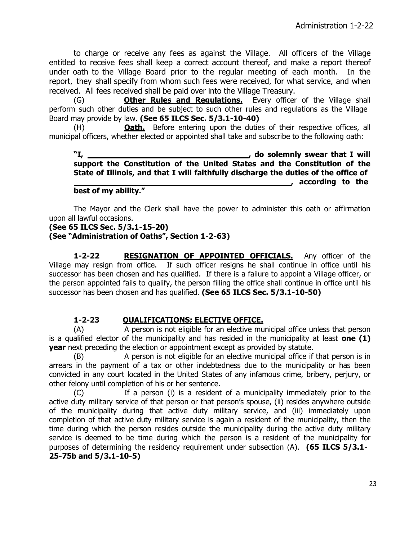to charge or receive any fees as against the Village. All officers of the Village entitled to receive fees shall keep a correct account thereof, and make a report thereof under oath to the Village Board prior to the regular meeting of each month. In the report, they shall specify from whom such fees were received, for what service, and when received. All fees received shall be paid over into the Village Treasury.

(G) **Other Rules and Regulations.** Every officer of the Village shall perform such other duties and be subject to such other rules and regulations as the Village Board may provide by law. **(See 65 ILCS Sec. 5/3.1-10-40)**

(H) **Oath.** Before entering upon the duties of their respective offices, all municipal officers, whether elected or appointed shall take and subscribe to the following oath:

**"I, , do solemnly swear that I will support the Constitution of the United States and the Constitution of the State of Illinois, and that I will faithfully discharge the duties of the office of 1201 1201 1202 1202 1202 1202 1203 1203 1203 best of my ability."**

The Mayor and the Clerk shall have the power to administer this oath or affirmation upon all lawful occasions.

# **(See 65 ILCS Sec. 5/3.1-15-20)**

#### **(See "Administration of Oaths", Section 1-2-63)**

**1-2-22 RESIGNATION OF APPOINTED OFFICIALS.** Any officer of the Village may resign from office. If such officer resigns he shall continue in office until his successor has been chosen and has qualified. If there is a failure to appoint a Village officer, or the person appointed fails to qualify, the person filling the office shall continue in office until his successor has been chosen and has qualified. **(See 65 ILCS Sec. 5/3.1-10-50)**

#### **1-2-23 QUALIFICATIONS; ELECTIVE OFFICE.**

(A) A person is not eligible for an elective municipal office unless that person is a qualified elector of the municipality and has resided in the municipality at least **one (1) year** next preceding the election or appointment except as provided by statute.

(B) A person is not eligible for an elective municipal office if that person is in arrears in the payment of a tax or other indebtedness due to the municipality or has been convicted in any court located in the United States of any infamous crime, bribery, perjury, or other felony until completion of his or her sentence.

(C) If a person (i) is a resident of a municipality immediately prior to the active duty military service of that person or that person's spouse, (ii) resides anywhere outside of the municipality during that active duty military service, and (iii) immediately upon completion of that active duty military service is again a resident of the municipality, then the time during which the person resides outside the municipality during the active duty military service is deemed to be time during which the person is a resident of the municipality for purposes of determining the residency requirement under subsection (A). **(65 ILCS 5/3.1- 25-75b and 5/3.1-10-5)**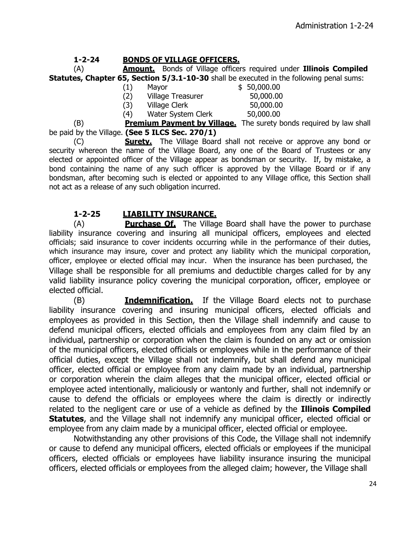### **1-2-24 BONDS OF VILLAGE OFFICERS.**

(A) **Amount.** Bonds of Village officers required under **Illinois Compiled Statutes, Chapter 65, Section 5/3.1-10-30** shall be executed in the following penal sums:

- (1) Mayor \$ 50,000.00
- (2) Village Treasurer 50,000.00
- (3) Village Clerk 50,000.00
- -
- (4) Water System Clerk 50,000.00

(B) **Premium Payment by Village.** The surety bonds required by law shall be paid by the Village. **(See 5 ILCS Sec. 270/1)**

(C) **Surety.** The Village Board shall not receive or approve any bond or security whereon the name of the Village Board, any one of the Board of Trustees or any elected or appointed officer of the Village appear as bondsman or security. If, by mistake, a bond containing the name of any such officer is approved by the Village Board or if any bondsman, after becoming such is elected or appointed to any Village office, this Section shall not act as a release of any such obligation incurred.

# **1-2-25 LIABILITY INSURANCE.**

(A) **Purchase Of.** The Village Board shall have the power to purchase liability insurance covering and insuring all municipal officers, employees and elected officials; said insurance to cover incidents occurring while in the performance of their duties, which insurance may insure, cover and protect any liability which the municipal corporation, officer, employee or elected official may incur. When the insurance has been purchased, the Village shall be responsible for all premiums and deductible charges called for by any valid liability insurance policy covering the municipal corporation, officer, employee or elected official.

(B) **Indemnification.** If the Village Board elects not to purchase liability insurance covering and insuring municipal officers, elected officials and employees as provided in this Section, then the Village shall indemnify and cause to defend municipal officers, elected officials and employees from any claim filed by an individual, partnership or corporation when the claim is founded on any act or omission of the municipal officers, elected officials or employees while in the performance of their official duties, except the Village shall not indemnify, but shall defend any municipal officer, elected official or employee from any claim made by an individual, partnership or corporation wherein the claim alleges that the municipal officer, elected official or employee acted intentionally, maliciously or wantonly and further, shall not indemnify or cause to defend the officials or employees where the claim is directly or indirectly related to the negligent care or use of a vehicle as defined by the **Illinois Compiled Statutes**, and the Village shall not indemnify any municipal officer, elected official or employee from any claim made by a municipal officer, elected official or employee.

Notwithstanding any other provisions of this Code, the Village shall not indemnify or cause to defend any municipal officers, elected officials or employees if the municipal officers, elected officials or employees have liability insurance insuring the municipal officers, elected officials or employees from the alleged claim; however, the Village shall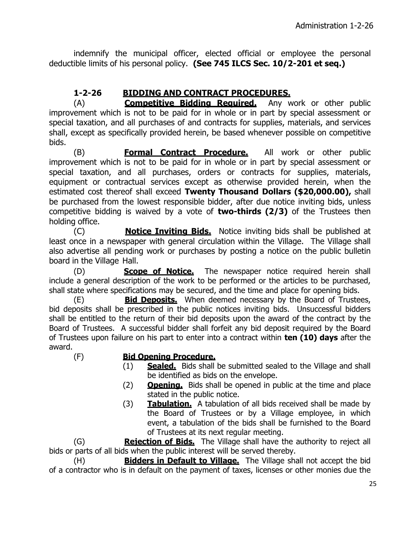indemnify the municipal officer, elected official or employee the personal deductible limits of his personal policy. **(See 745 ILCS Sec. 10/2-201 et seq.)**

# **1-2-26 BIDDING AND CONTRACT PROCEDURES.**

(A) **Competitive Bidding Required.** Any work or other public improvement which is not to be paid for in whole or in part by special assessment or special taxation, and all purchases of and contracts for supplies, materials, and services shall, except as specifically provided herein, be based whenever possible on competitive bids.

(B) **Formal Contract Procedure.** All work or other public improvement which is not to be paid for in whole or in part by special assessment or special taxation, and all purchases, orders or contracts for supplies, materials, equipment or contractual services except as otherwise provided herein, when the estimated cost thereof shall exceed **Twenty Thousand Dollars (\$20,000.00),** shall be purchased from the lowest responsible bidder, after due notice inviting bids, unless competitive bidding is waived by a vote of **two-thirds (2/3)** of the Trustees then holding office.

(C) **Notice Inviting Bids.** Notice inviting bids shall be published at least once in a newspaper with general circulation within the Village. The Village shall also advertise all pending work or purchases by posting a notice on the public bulletin board in the Village Hall.

(D) **Scope of Notice.** The newspaper notice required herein shall include a general description of the work to be performed or the articles to be purchased, shall state where specifications may be secured, and the time and place for opening bids.

**Bid Deposits.** When deemed necessary by the Board of Trustees, bid deposits shall be prescribed in the public notices inviting bids. Unsuccessful bidders shall be entitled to the return of their bid deposits upon the award of the contract by the Board of Trustees. A successful bidder shall forfeit any bid deposit required by the Board of Trustees upon failure on his part to enter into a contract within **ten (10) days** after the award.

#### (F) **Bid Opening Procedure.**

- (1) **Sealed.** Bids shall be submitted sealed to the Village and shall be identified as bids on the envelope.
- (2) **Opening.** Bids shall be opened in public at the time and place stated in the public notice.
- (3) **Tabulation.** A tabulation of all bids received shall be made by the Board of Trustees or by a Village employee, in which event, a tabulation of the bids shall be furnished to the Board of Trustees at its next regular meeting.

(G) **Rejection of Bids.** The Village shall have the authority to reject all bids or parts of all bids when the public interest will be served thereby.

(H) **Bidders in Default to Village.** The Village shall not accept the bid of a contractor who is in default on the payment of taxes, licenses or other monies due the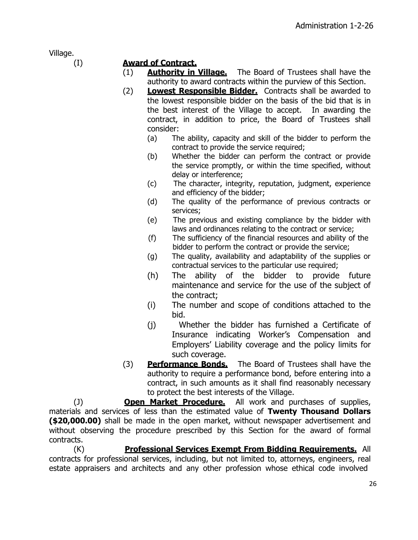Village.

# (I) **Award of Contract.**

- (1) **Authority in Village.** The Board of Trustees shall have the authority to award contracts within the purview of this Section.
- (2) **Lowest Responsible Bidder.** Contracts shall be awarded to the lowest responsible bidder on the basis of the bid that is in the best interest of the Village to accept. In awarding the contract, in addition to price, the Board of Trustees shall consider:
	- (a) The ability, capacity and skill of the bidder to perform the contract to provide the service required;
	- (b) Whether the bidder can perform the contract or provide the service promptly, or within the time specified, without delay or interference;
	- (c) The character, integrity, reputation, judgment, experience and efficiency of the bidder;
	- (d) The quality of the performance of previous contracts or services;
	- (e) The previous and existing compliance by the bidder with laws and ordinances relating to the contract or service;
	- (f) The sufficiency of the financial resources and ability of the bidder to perform the contract or provide the service;
	- (g) The quality, availability and adaptability of the supplies or contractual services to the particular use required;
	- (h) The ability of the bidder to provide future maintenance and service for the use of the subject of the contract;
	- (i) The number and scope of conditions attached to the bid.
	- (j) Whether the bidder has furnished a Certificate of Insurance indicating Worker's Compensation and Employers' Liability coverage and the policy limits for such coverage.
- (3) **Performance Bonds.** The Board of Trustees shall have the authority to require a performance bond, before entering into a contract, in such amounts as it shall find reasonably necessary to protect the best interests of the Village.

(J) **Open Market Procedure.** All work and purchases of supplies, materials and services of less than the estimated value of **Twenty Thousand Dollars (\$20,000.00)** shall be made in the open market, without newspaper advertisement and without observing the procedure prescribed by this Section for the award of formal contracts.

(K) **Professional Services Exempt From Bidding Requirements.** All contracts for professional services, including, but not limited to, attorneys, engineers, real estate appraisers and architects and any other profession whose ethical code involved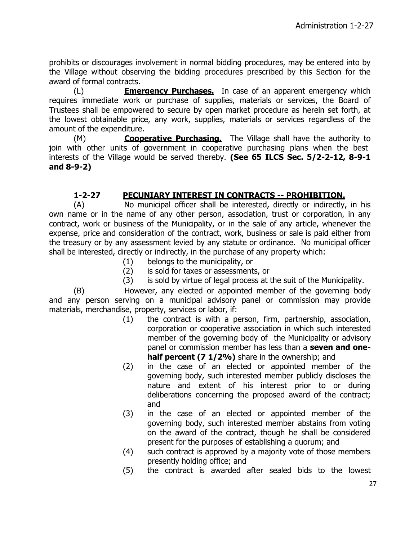prohibits or discourages involvement in normal bidding procedures, may be entered into by the Village without observing the bidding procedures prescribed by this Section for the award of formal contracts.

(L) **Emergency Purchases.** In case of an apparent emergency which requires immediate work or purchase of supplies, materials or services, the Board of Trustees shall be empowered to secure by open market procedure as herein set forth, at the lowest obtainable price, any work, supplies, materials or services regardless of the amount of the expenditure.

(M) **Cooperative Purchasing.** The Village shall have the authority to join with other units of government in cooperative purchasing plans when the best interests of the Village would be served thereby. **(See 65 ILCS Sec. 5/2-2-12, 8-9-1 and 8-9-2)**

# **1-2-27 PECUNIARY INTEREST IN CONTRACTS -- PROHIBITION.**

(A) No municipal officer shall be interested, directly or indirectly, in his own name or in the name of any other person, association, trust or corporation, in any contract, work or business of the Municipality, or in the sale of any article, whenever the expense, price and consideration of the contract, work, business or sale is paid either from the treasury or by any assessment levied by any statute or ordinance. No municipal officer shall be interested, directly or indirectly, in the purchase of any property which:

- (1) belongs to the municipality, or
- (2) is sold for taxes or assessments, or
- (3) is sold by virtue of legal process at the suit of the Municipality.

(B) However, any elected or appointed member of the governing body and any person serving on a municipal advisory panel or commission may provide materials, merchandise, property, services or labor, if:

- (1) the contract is with a person, firm, partnership, association, corporation or cooperative association in which such interested member of the governing body of the Municipality or advisory panel or commission member has less than a **seven and onehalf percent (7 1/2%)** share in the ownership; and
- (2) in the case of an elected or appointed member of the governing body, such interested member publicly discloses the nature and extent of his interest prior to or during deliberations concerning the proposed award of the contract; and
- (3) in the case of an elected or appointed member of the governing body, such interested member abstains from voting on the award of the contract, though he shall be considered present for the purposes of establishing a quorum; and
- (4) such contract is approved by a majority vote of those members presently holding office; and
- (5) the contract is awarded after sealed bids to the lowest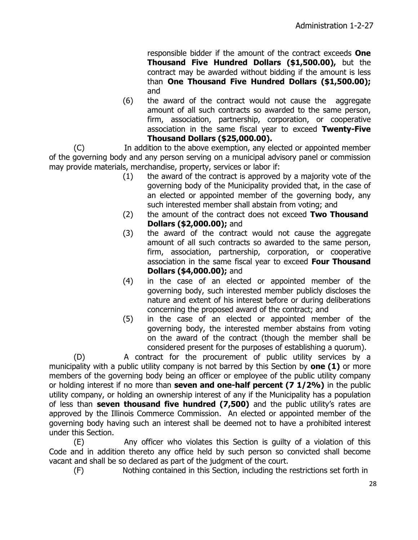responsible bidder if the amount of the contract exceeds **One Thousand Five Hundred Dollars (\$1,500.00),** but the contract may be awarded without bidding if the amount is less than **One Thousand Five Hundred Dollars (\$1,500.00);**  and

(6) the award of the contract would not cause the aggregate amount of all such contracts so awarded to the same person, firm, association, partnership, corporation, or cooperative association in the same fiscal year to exceed **Twenty-Five Thousand Dollars (\$25,000.00).**

(C) In addition to the above exemption, any elected or appointed member of the governing body and any person serving on a municipal advisory panel or commission may provide materials, merchandise, property, services or labor if:

- (1) the award of the contract is approved by a majority vote of the governing body of the Municipality provided that, in the case of an elected or appointed member of the governing body, any such interested member shall abstain from voting; and
- (2) the amount of the contract does not exceed **Two Thousand Dollars (\$2,000.00);** and
- (3) the award of the contract would not cause the aggregate amount of all such contracts so awarded to the same person, firm, association, partnership, corporation, or cooperative association in the same fiscal year to exceed **Four Thousand Dollars (\$4,000.00);** and
- (4) in the case of an elected or appointed member of the governing body, such interested member publicly discloses the nature and extent of his interest before or during deliberations concerning the proposed award of the contract; and
- (5) in the case of an elected or appointed member of the governing body, the interested member abstains from voting on the award of the contract (though the member shall be considered present for the purposes of establishing a quorum).

(D) A contract for the procurement of public utility services by a municipality with a public utility company is not barred by this Section by **one (1)** or more members of the governing body being an officer or employee of the public utility company or holding interest if no more than **seven and one-half percent (7 1/2%)** in the public utility company, or holding an ownership interest of any if the Municipality has a population of less than **seven thousand five hundred (7,500)** and the public utility's rates are approved by the Illinois Commerce Commission. An elected or appointed member of the governing body having such an interest shall be deemed not to have a prohibited interest under this Section.

(E) Any officer who violates this Section is guilty of a violation of this Code and in addition thereto any office held by such person so convicted shall become vacant and shall be so declared as part of the judgment of the court.

(F) Nothing contained in this Section, including the restrictions set forth in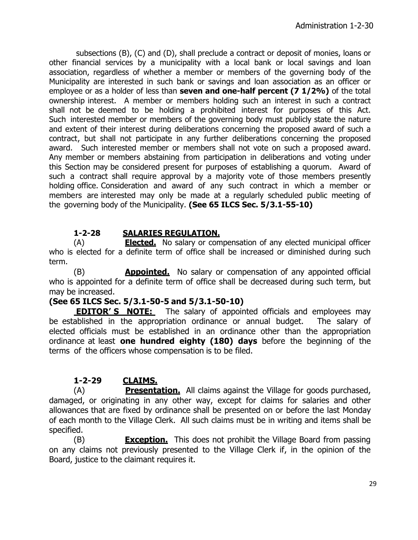subsections (B), (C) and (D), shall preclude a contract or deposit of monies, loans or other financial services by a municipality with a local bank or local savings and loan association, regardless of whether a member or members of the governing body of the Municipality are interested in such bank or savings and loan association as an officer or employee or as a holder of less than **seven and one-half percent (7 1/2%)** of the total ownership interest. A member or members holding such an interest in such a contract shall not be deemed to be holding a prohibited interest for purposes of this Act. Such interested member or members of the governing body must publicly state the nature and extent of their interest during deliberations concerning the proposed award of such a contract, but shall not participate in any further deliberations concerning the proposed award. Such interested member or members shall not vote on such a proposed award. Any member or members abstaining from participation in deliberations and voting under this Section may be considered present for purposes of establishing a quorum. Award of such a contract shall require approval by a majority vote of those members presently holding office. Consideration and award of any such contract in which a member or members are interested may only be made at a regularly scheduled public meeting of the governing body of the Municipality. **(See 65 ILCS Sec. 5/3.1-55-10)**

# **1-2-28 SALARIES REGULATION.**

(A) **Elected.** No salary or compensation of any elected municipal officer who is elected for a definite term of office shall be increased or diminished during such term.

(B) **Appointed.** No salary or compensation of any appointed official who is appointed for a definite term of office shall be decreased during such term, but may be increased.

## **(See 65 ILCS Sec. 5/3.1-50-5 and 5/3.1-50-10)**

**EDITOR'S NOTE:** The salary of appointed officials and employees may be established in the appropriation ordinance or annual budget. The salary of elected officials must be established in an ordinance other than the appropriation ordinance at least **one hundred eighty (180) days** before the beginning of the terms of the officers whose compensation is to be filed.

# **1-2-29 CLAIMS.**

(A) **Presentation.** All claims against the Village for goods purchased, damaged, or originating in any other way, except for claims for salaries and other allowances that are fixed by ordinance shall be presented on or before the last Monday of each month to the Village Clerk. All such claims must be in writing and items shall be specified.

(B) **Exception.** This does not prohibit the Village Board from passing on any claims not previously presented to the Village Clerk if, in the opinion of the Board, justice to the claimant requires it.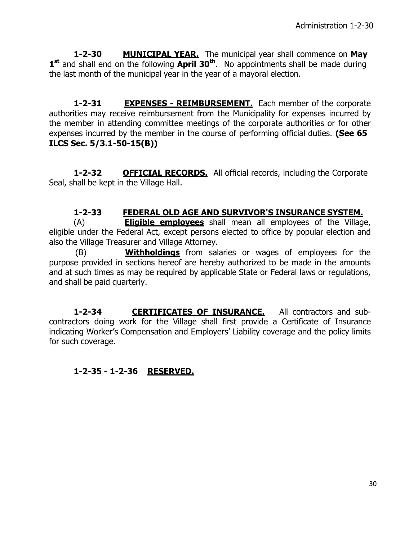**1-2-30 MUNICIPAL YEAR.** The municipal year shall commence on **May** 1<sup>st</sup> and shall end on the following April 30<sup>th</sup>. No appointments shall be made during the last month of the municipal year in the year of a mayoral election.

**1-2-31 EXPENSES - REIMBURSEMENT.** Each member of the corporate authorities may receive reimbursement from the Municipality for expenses incurred by the member in attending committee meetings of the corporate authorities or for other expenses incurred by the member in the course of performing official duties. **(See 65 ILCS Sec. 5/3.1-50-15(B))**

**1-2-32 <b>OFFICIAL RECORDS.** All official records, including the Corporate Seal, shall be kept in the Village Hall.

## **1-2-33 FEDERAL OLD AGE AND SURVIVOR'S INSURANCE SYSTEM.**

(A) **Eligible employees** shall mean all employees of the Village, eligible under the Federal Act, except persons elected to office by popular election and also the Village Treasurer and Village Attorney.

 (B) **Withholdings** from salaries or wages of employees for the purpose provided in sections hereof are hereby authorized to be made in the amounts and at such times as may be required by applicable State or Federal laws or regulations, and shall be paid quarterly.

**1-2-34 CERTIFICATES OF INSURANCE.** All contractors and subcontractors doing work for the Village shall first provide a Certificate of Insurance indicating Worker's Compensation and Employers' Liability coverage and the policy limits for such coverage.

# **1-2-35 - 1-2-36 RESERVED.**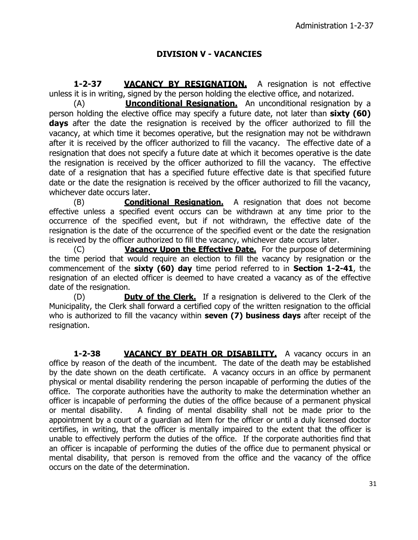### **DIVISION V - VACANCIES**

**1-2-37 VACANCY BY RESIGNATION.** A resignation is not effective unless it is in writing, signed by the person holding the elective office, and notarized.

(A) **Unconditional Resignation.** An unconditional resignation by a person holding the elective office may specify a future date, not later than **sixty (60) days** after the date the resignation is received by the officer authorized to fill the vacancy, at which time it becomes operative, but the resignation may not be withdrawn after it is received by the officer authorized to fill the vacancy. The effective date of a resignation that does not specify a future date at which it becomes operative is the date the resignation is received by the officer authorized to fill the vacancy. The effective date of a resignation that has a specified future effective date is that specified future date or the date the resignation is received by the officer authorized to fill the vacancy, whichever date occurs later.

(B) **Conditional Resignation.** A resignation that does not become effective unless a specified event occurs can be withdrawn at any time prior to the occurrence of the specified event, but if not withdrawn, the effective date of the resignation is the date of the occurrence of the specified event or the date the resignation is received by the officer authorized to fill the vacancy, whichever date occurs later.

(C) **Vacancy Upon the Effective Date.** For the purpose of determining the time period that would require an election to fill the vacancy by resignation or the commencement of the **sixty (60) day** time period referred to in **Section 1-2-41**, the resignation of an elected officer is deemed to have created a vacancy as of the effective date of the resignation.

(D) **Duty of the Clerk.** If a resignation is delivered to the Clerk of the Municipality, the Clerk shall forward a certified copy of the written resignation to the official who is authorized to fill the vacancy within **seven (7) business days** after receipt of the resignation.

**1-2-38 VACANCY BY DEATH OR DISABILITY.** A vacancy occurs in an office by reason of the death of the incumbent. The date of the death may be established by the date shown on the death certificate. A vacancy occurs in an office by permanent physical or mental disability rendering the person incapable of performing the duties of the office. The corporate authorities have the authority to make the determination whether an officer is incapable of performing the duties of the office because of a permanent physical or mental disability. A finding of mental disability shall not be made prior to the appointment by a court of a guardian ad litem for the officer or until a duly licensed doctor certifies, in writing, that the officer is mentally impaired to the extent that the officer is unable to effectively perform the duties of the office. If the corporate authorities find that an officer is incapable of performing the duties of the office due to permanent physical or mental disability, that person is removed from the office and the vacancy of the office occurs on the date of the determination.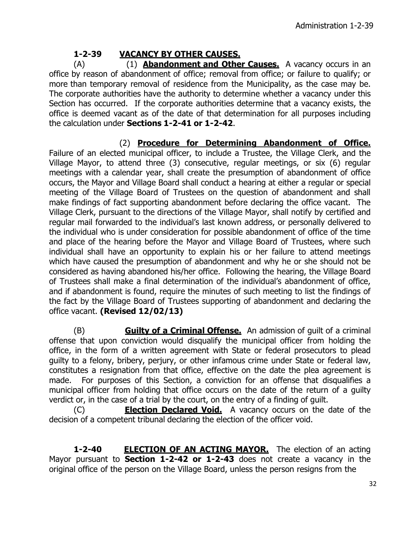# **1-2-39 VACANCY BY OTHER CAUSES.**

(A) (1) **Abandonment and Other Causes.** A vacancy occurs in an office by reason of abandonment of office; removal from office; or failure to qualify; or more than temporary removal of residence from the Municipality, as the case may be. The corporate authorities have the authority to determine whether a vacancy under this Section has occurred. If the corporate authorities determine that a vacancy exists, the office is deemed vacant as of the date of that determination for all purposes including the calculation under **Sections 1-2-41 or 1-2-42**.

(2) **Procedure for Determining Abandonment of Office.** Failure of an elected municipal officer, to include a Trustee, the Village Clerk, and the Village Mayor, to attend three (3) consecutive, regular meetings, or six (6) regular meetings with a calendar year, shall create the presumption of abandonment of office occurs, the Mayor and Village Board shall conduct a hearing at either a regular or special meeting of the Village Board of Trustees on the question of abandonment and shall make findings of fact supporting abandonment before declaring the office vacant. The Village Clerk, pursuant to the directions of the Village Mayor, shall notify by certified and regular mail forwarded to the individual's last known address, or personally delivered to the individual who is under consideration for possible abandonment of office of the time and place of the hearing before the Mayor and Village Board of Trustees, where such individual shall have an opportunity to explain his or her failure to attend meetings which have caused the presumption of abandonment and why he or she should not be considered as having abandoned his/her office. Following the hearing, the Village Board of Trustees shall make a final determination of the individual's abandonment of office, and if abandonment is found, require the minutes of such meeting to list the findings of the fact by the Village Board of Trustees supporting of abandonment and declaring the office vacant. **(Revised 12/02/13)**

(B) **Guilty of a Criminal Offense.** An admission of guilt of a criminal offense that upon conviction would disqualify the municipal officer from holding the office, in the form of a written agreement with State or federal prosecutors to plead guilty to a felony, bribery, perjury, or other infamous crime under State or federal law, constitutes a resignation from that office, effective on the date the plea agreement is made. For purposes of this Section, a conviction for an offense that disqualifies a municipal officer from holding that office occurs on the date of the return of a guilty verdict or, in the case of a trial by the court, on the entry of a finding of guilt.

(C) **Election Declared Void.** A vacancy occurs on the date of the decision of a competent tribunal declaring the election of the officer void.

**1-2-40 ELECTION OF AN ACTING MAYOR.** The election of an acting Mayor pursuant to **Section 1-2-42 or 1-2-43** does not create a vacancy in the original office of the person on the Village Board, unless the person resigns from the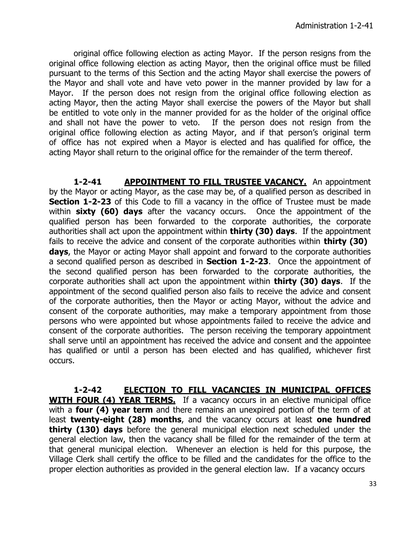original office following election as acting Mayor. If the person resigns from the original office following election as acting Mayor, then the original office must be filled pursuant to the terms of this Section and the acting Mayor shall exercise the powers of the Mayor and shall vote and have veto power in the manner provided by law for a Mayor. If the person does not resign from the original office following election as acting Mayor, then the acting Mayor shall exercise the powers of the Mayor but shall be entitled to vote only in the manner provided for as the holder of the original office and shall not have the power to veto. If the person does not resign from the original office following election as acting Mayor, and if that person's original term of office has not expired when a Mayor is elected and has qualified for office, the acting Mayor shall return to the original office for the remainder of the term thereof.

**1-2-41 APPOINTMENT TO FILL TRUSTEE VACANCY.** An appointment by the Mayor or acting Mayor, as the case may be, of a qualified person as described in **Section 1-2-23** of this Code to fill a vacancy in the office of Trustee must be made within **sixty (60) days** after the vacancy occurs. Once the appointment of the qualified person has been forwarded to the corporate authorities, the corporate authorities shall act upon the appointment within **thirty (30) days**. If the appointment fails to receive the advice and consent of the corporate authorities within **thirty (30) days**, the Mayor or acting Mayor shall appoint and forward to the corporate authorities a second qualified person as described in **Section 1-2-23**. Once the appointment of the second qualified person has been forwarded to the corporate authorities, the corporate authorities shall act upon the appointment within **thirty (30) days**. If the appointment of the second qualified person also fails to receive the advice and consent of the corporate authorities, then the Mayor or acting Mayor, without the advice and consent of the corporate authorities, may make a temporary appointment from those persons who were appointed but whose appointments failed to receive the advice and consent of the corporate authorities. The person receiving the temporary appointment shall serve until an appointment has received the advice and consent and the appointee has qualified or until a person has been elected and has qualified, whichever first occurs.

**1-2-42 ELECTION TO FILL VACANCIES IN MUNICIPAL OFFICES WITH FOUR (4) YEAR TERMS.** If a vacancy occurs in an elective municipal office with a **four (4) year term** and there remains an unexpired portion of the term of at least **twenty-eight (28) months**, and the vacancy occurs at least **one hundred thirty (130) days** before the general municipal election next scheduled under the general election law, then the vacancy shall be filled for the remainder of the term at that general municipal election. Whenever an election is held for this purpose, the Village Clerk shall certify the office to be filled and the candidates for the office to the proper election authorities as provided in the general election law. If a vacancy occurs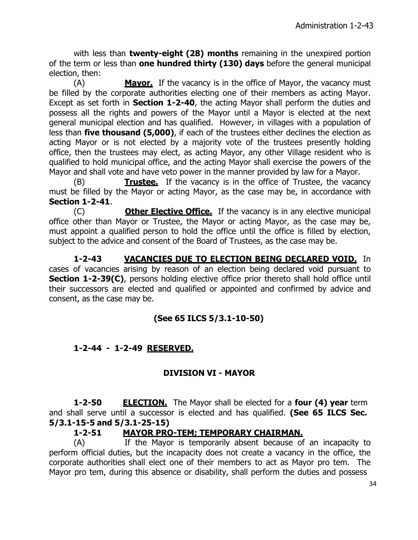with less than **twenty-eight (28) months** remaining in the unexpired portion of the term or less than **one hundred thirty (130) days** before the general municipal election, then:

(A) **Mayor.** If the vacancy is in the office of Mayor, the vacancy must be filled by the corporate authorities electing one of their members as acting Mayor. Except as set forth in **Section 1-2-40**, the acting Mayor shall perform the duties and possess all the rights and powers of the Mayor until a Mayor is elected at the next general municipal election and has qualified. However, in villages with a population of less than **five thousand (5,000)**, if each of the trustees either declines the election as acting Mayor or is not elected by a majority vote of the trustees presently holding office, then the trustees may elect, as acting Mayor, any other Village resident who is qualified to hold municipal office, and the acting Mayor shall exercise the powers of the Mayor and shall vote and have veto power in the manner provided by law for a Mayor.

(B) **Trustee.** If the vacancy is in the office of Trustee, the vacancy must be filled by the Mayor or acting Mayor, as the case may be, in accordance with **Section 1-2-41**.

(C) **Other Elective Office.** If the vacancy is in any elective municipal office other than Mayor or Trustee, the Mayor or acting Mayor, as the case may be, must appoint a qualified person to hold the office until the office is filled by election, subject to the advice and consent of the Board of Trustees, as the case may be.

**1-2-43 VACANCIES DUE TO ELECTION BEING DECLARED VOID.** In cases of vacancies arising by reason of an election being declared void pursuant to **Section 1-2-39(C)**, persons holding elective office prior thereto shall hold office until their successors are elected and qualified or appointed and confirmed by advice and consent, as the case may be.

# **(See 65 ILCS 5/3.1-10-50)**

## **1-2-44 - 1-2-49 RESERVED.**

## **DIVISION VI - MAYOR**

**1-2-50 ELECTION.** The Mayor shall be elected for a **four (4) year** term and shall serve until a successor is elected and has qualified. **(See 65 ILCS Sec. 5/3.1-15-5 and 5/3.1-25-15)**

#### **1-2-51 MAYOR PRO-TEM; TEMPORARY CHAIRMAN.**

(A) If the Mayor is temporarily absent because of an incapacity to perform official duties, but the incapacity does not create a vacancy in the office, the corporate authorities shall elect one of their members to act as Mayor pro tem. The Mayor pro tem, during this absence or disability, shall perform the duties and possess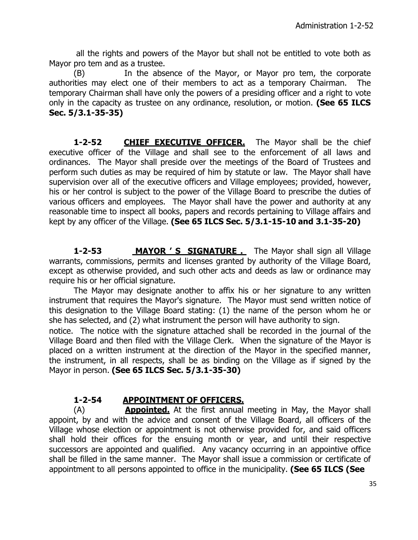all the rights and powers of the Mayor but shall not be entitled to vote both as Mayor pro tem and as a trustee.

(B) In the absence of the Mayor, or Mayor pro tem, the corporate authorities may elect one of their members to act as a temporary Chairman. The temporary Chairman shall have only the powers of a presiding officer and a right to vote only in the capacity as trustee on any ordinance, resolution, or motion. **(See 65 ILCS Sec. 5/3.1-35-35)**

**1-2-52** CHIEF EXECUTIVE OFFICER. The Mayor shall be the chief executive officer of the Village and shall see to the enforcement of all laws and ordinances. The Mayor shall preside over the meetings of the Board of Trustees and perform such duties as may be required of him by statute or law. The Mayor shall have supervision over all of the executive officers and Village employees; provided, however, his or her control is subject to the power of the Village Board to prescribe the duties of various officers and employees. The Mayor shall have the power and authority at any reasonable time to inspect all books, papers and records pertaining to Village affairs and kept by any officer of the Village. **(See 65 ILCS Sec. 5/3.1-15-10 and 3.1-35-20)**

**1-2-53** MAYOR 'S SIGNATURE . The Mayor shall sign all Village warrants, commissions, permits and licenses granted by authority of the Village Board, except as otherwise provided, and such other acts and deeds as law or ordinance may require his or her official signature.

The Mayor may designate another to affix his or her signature to any written instrument that requires the Mayor's signature. The Mayor must send written notice of this designation to the Village Board stating: (1) the name of the person whom he or she has selected, and (2) what instrument the person will have authority to sign.

notice. The notice with the signature attached shall be recorded in the journal of the Village Board and then filed with the Village Clerk. When the signature of the Mayor is placed on a written instrument at the direction of the Mayor in the specified manner, the instrument, in all respects, shall be as binding on the Village as if signed by the Mayor in person. **(See 65 ILCS Sec. 5/3.1-35-30)**

# **1-2-54 APPOINTMENT OF OFFICERS.**

(A) **Appointed.** At the first annual meeting in May, the Mayor shall appoint, by and with the advice and consent of the Village Board, all officers of the Village whose election or appointment is not otherwise provided for, and said officers shall hold their offices for the ensuing month or year, and until their respective successors are appointed and qualified. Any vacancy occurring in an appointive office shall be filled in the same manner. The Mayor shall issue a commission or certificate of appointment to all persons appointed to office in the municipality. **(See 65 ILCS (See**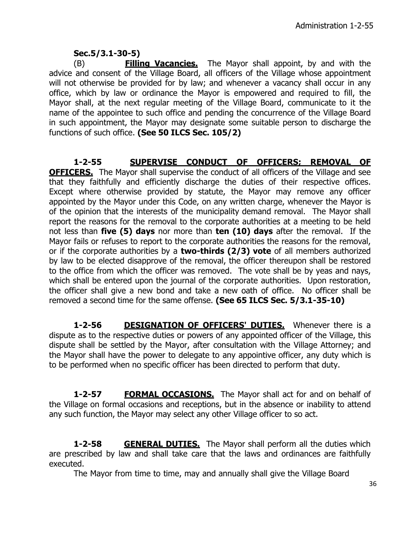# **Sec.5/3.1-30-5)**

(B) **Filling Vacancies.** The Mayor shall appoint, by and with the advice and consent of the Village Board, all officers of the Village whose appointment will not otherwise be provided for by law; and whenever a vacancy shall occur in any office, which by law or ordinance the Mayor is empowered and required to fill, the Mayor shall, at the next regular meeting of the Village Board, communicate to it the name of the appointee to such office and pending the concurrence of the Village Board in such appointment, the Mayor may designate some suitable person to discharge the functions of such office. **(See 50 ILCS Sec. 105/2)**

**1-2-55 SUPERVISE CONDUCT OF OFFICERS; REMOVAL OF OFFICERS.** The Mayor shall supervise the conduct of all officers of the Village and see that they faithfully and efficiently discharge the duties of their respective offices. Except where otherwise provided by statute, the Mayor may remove any officer appointed by the Mayor under this Code, on any written charge, whenever the Mayor is of the opinion that the interests of the municipality demand removal. The Mayor shall report the reasons for the removal to the corporate authorities at a meeting to be held not less than **five (5) days** nor more than **ten (10) days** after the removal. If the Mayor fails or refuses to report to the corporate authorities the reasons for the removal, or if the corporate authorities by a **two-thirds (2/3) vote** of all members authorized by law to be elected disapprove of the removal, the officer thereupon shall be restored to the office from which the officer was removed. The vote shall be by yeas and nays, which shall be entered upon the journal of the corporate authorities. Upon restoration, the officer shall give a new bond and take a new oath of office. No officer shall be removed a second time for the same offense. **(See 65 ILCS Sec. 5/3.1-35-10)**

**1-2-56 DESIGNATION OF OFFICERS' DUTIES.** Whenever there is a dispute as to the respective duties or powers of any appointed officer of the Village, this dispute shall be settled by the Mayor, after consultation with the Village Attorney; and the Mayor shall have the power to delegate to any appointive officer, any duty which is to be performed when no specific officer has been directed to perform that duty.

**1-2-57 FORMAL OCCASIONS.** The Mayor shall act for and on behalf of the Village on formal occasions and receptions, but in the absence or inability to attend any such function, the Mayor may select any other Village officer to so act.

**1-2-58 GENERAL DUTIES.** The Mayor shall perform all the duties which are prescribed by law and shall take care that the laws and ordinances are faithfully executed.

The Mayor from time to time, may and annually shall give the Village Board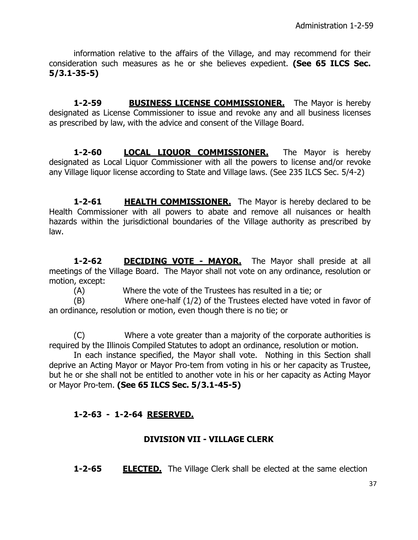information relative to the affairs of the Village, and may recommend for their consideration such measures as he or she believes expedient. **(See 65 ILCS Sec. 5/3.1-35-5)**

**1-2-59 BUSINESS LICENSE COMMISSIONER.** The Mayor is hereby designated as License Commissioner to issue and revoke any and all business licenses as prescribed by law, with the advice and consent of the Village Board.

1-2-60 **LOCAL LIOUOR COMMISSIONER.** The Mayor is hereby designated as Local Liquor Commissioner with all the powers to license and/or revoke any Village liquor license according to State and Village laws. (See 235 ILCS Sec. 5/4-2)

**1-2-61 HEALTH COMMISSIONER.** The Mayor is hereby declared to be Health Commissioner with all powers to abate and remove all nuisances or health hazards within the jurisdictional boundaries of the Village authority as prescribed by law.

**1-2-62 DECIDING VOTE - MAYOR.** The Mayor shall preside at all meetings of the Village Board. The Mayor shall not vote on any ordinance, resolution or motion, except:

(A) Where the vote of the Trustees has resulted in a tie; or

(B) Where one-half (1/2) of the Trustees elected have voted in favor of an ordinance, resolution or motion, even though there is no tie; or

(C) Where a vote greater than a majority of the corporate authorities is required by the Illinois Compiled Statutes to adopt an ordinance, resolution or motion.

In each instance specified, the Mayor shall vote. Nothing in this Section shall deprive an Acting Mayor or Mayor Pro-tem from voting in his or her capacity as Trustee, but he or she shall not be entitled to another vote in his or her capacity as Acting Mayor or Mayor Pro-tem. **(See 65 ILCS Sec. 5/3.1-45-5)**

# **1-2-63 - 1-2-64 RESERVED.**

# **DIVISION VII - VILLAGE CLERK**

**1-2-65 ELECTED.** The Village Clerk shall be elected at the same election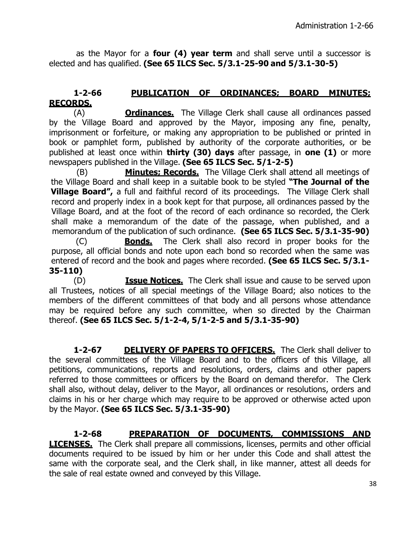as the Mayor for a **four (4) year term** and shall serve until a successor is elected and has qualified. **(See 65 ILCS Sec. 5/3.1-25-90 and 5/3.1-30-5)**

# **1-2-66 PUBLICATION OF ORDINANCES; BOARD MINUTES; RECORDS.**

(A) **Ordinances.** The Village Clerk shall cause all ordinances passed by the Village Board and approved by the Mayor, imposing any fine, penalty, imprisonment or forfeiture, or making any appropriation to be published or printed in book or pamphlet form, published by authority of the corporate authorities, or be published at least once within **thirty (30) days** after passage, in **one (1)** or more newspapers published in the Village. **(See 65 ILCS Sec. 5/1-2-5)**

(B) **Minutes; Records.** The Village Clerk shall attend all meetings of the Village Board and shall keep in a suitable book to be styled **"The Journal of the Village Board",** a full and faithful record of its proceedings. The Village Clerk shall record and properly index in a book kept for that purpose, all ordinances passed by the Village Board, and at the foot of the record of each ordinance so recorded, the Clerk shall make a memorandum of the date of the passage, when published, and a memorandum of the publication of such ordinance. **(See 65 ILCS Sec. 5/3.1-35-90)** 

(C) **Bonds.** The Clerk shall also record in proper books for the purpose, all official bonds and note upon each bond so recorded when the same was entered of record and the book and pages where recorded. **(See 65 ILCS Sec. 5/3.1- 35-110)**

(D) **Issue Notices.** The Clerk shall issue and cause to be served upon all Trustees, notices of all special meetings of the Village Board; also notices to the members of the different committees of that body and all persons whose attendance may be required before any such committee, when so directed by the Chairman thereof. **(See 65 ILCS Sec. 5/1-2-4, 5/1-2-5 and 5/3.1-35-90)**

**1-2-67 DELIVERY OF PAPERS TO OFFICERS.** The Clerk shall deliver to the several committees of the Village Board and to the officers of this Village, all petitions, communications, reports and resolutions, orders, claims and other papers referred to those committees or officers by the Board on demand therefor. The Clerk shall also, without delay, deliver to the Mayor, all ordinances or resolutions, orders and claims in his or her charge which may require to be approved or otherwise acted upon by the Mayor. **(See 65 ILCS Sec. 5/3.1-35-90)**

**1-2-68 PREPARATION OF DOCUMENTS, COMMISSIONS AND LICENSES.** The Clerk shall prepare all commissions, licenses, permits and other official documents required to be issued by him or her under this Code and shall attest the same with the corporate seal, and the Clerk shall, in like manner, attest all deeds for the sale of real estate owned and conveyed by this Village.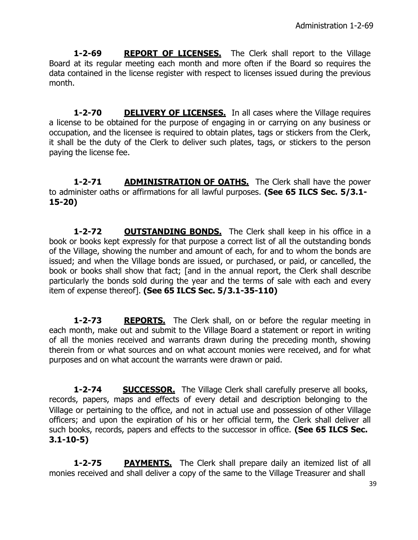**1-2-69 REPORT OF LICENSES.** The Clerk shall report to the Village Board at its regular meeting each month and more often if the Board so requires the data contained in the license register with respect to licenses issued during the previous month.

**1-2-70 DELIVERY OF LICENSES.** In all cases where the Village requires a license to be obtained for the purpose of engaging in or carrying on any business or occupation, and the licensee is required to obtain plates, tags or stickers from the Clerk, it shall be the duty of the Clerk to deliver such plates, tags, or stickers to the person paying the license fee.

**1-2-71 ADMINISTRATION OF OATHS.** The Clerk shall have the power to administer oaths or affirmations for all lawful purposes. **(See 65 ILCS Sec. 5/3.1- 15-20)**

**1-2-72 OUTSTANDING BONDS.** The Clerk shall keep in his office in a book or books kept expressly for that purpose a correct list of all the outstanding bonds of the Village, showing the number and amount of each, for and to whom the bonds are issued; and when the Village bonds are issued, or purchased, or paid, or cancelled, the book or books shall show that fact; [and in the annual report, the Clerk shall describe particularly the bonds sold during the year and the terms of sale with each and every item of expense thereof]. **(See 65 ILCS Sec. 5/3.1-35-110)**

**1-2-73 REPORTS.** The Clerk shall, on or before the regular meeting in each month, make out and submit to the Village Board a statement or report in writing of all the monies received and warrants drawn during the preceding month, showing therein from or what sources and on what account monies were received, and for what purposes and on what account the warrants were drawn or paid.

**1-2-74 SUCCESSOR.** The Village Clerk shall carefully preserve all books, records, papers, maps and effects of every detail and description belonging to the Village or pertaining to the office, and not in actual use and possession of other Village officers; and upon the expiration of his or her official term, the Clerk shall deliver all such books, records, papers and effects to the successor in office. **(See 65 ILCS Sec. 3.1-10-5)**

**1-2-75 PAYMENTS.** The Clerk shall prepare daily an itemized list of all monies received and shall deliver a copy of the same to the Village Treasurer and shall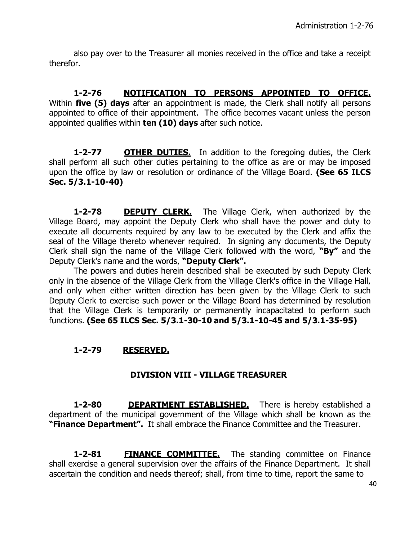also pay over to the Treasurer all monies received in the office and take a receipt therefor.

**1-2-76 NOTIFICATION TO PERSONS APPOINTED TO OFFICE.** Within **five (5) days** after an appointment is made, the Clerk shall notify all persons appointed to office of their appointment. The office becomes vacant unless the person appointed qualifies within **ten (10) days** after such notice.

**1-2-77 OTHER DUTIES.** In addition to the foregoing duties, the Clerk shall perform all such other duties pertaining to the office as are or may be imposed upon the office by law or resolution or ordinance of the Village Board. **(See 65 ILCS Sec. 5/3.1-10-40)**

**1-2-78 DEPUTY CLERK.** The Village Clerk, when authorized by the Village Board, may appoint the Deputy Clerk who shall have the power and duty to execute all documents required by any law to be executed by the Clerk and affix the seal of the Village thereto whenever required. In signing any documents, the Deputy Clerk shall sign the name of the Village Clerk followed with the word, **"By"** and the Deputy Clerk's name and the words, **"Deputy Clerk".**

The powers and duties herein described shall be executed by such Deputy Clerk only in the absence of the Village Clerk from the Village Clerk's office in the Village Hall, and only when either written direction has been given by the Village Clerk to such Deputy Clerk to exercise such power or the Village Board has determined by resolution that the Village Clerk is temporarily or permanently incapacitated to perform such functions. **(See 65 ILCS Sec. 5/3.1-30-10 and 5/3.1-10-45 and 5/3.1-35-95)**

# **1-2-79 RESERVED.**

## **DIVISION VIII - VILLAGE TREASURER**

**1-2-80 DEPARTMENT ESTABLISHED.** There is hereby established a department of the municipal government of the Village which shall be known as the **"Finance Department".** It shall embrace the Finance Committee and the Treasurer.

**1-2-81 FINANCE COMMITTEE.** The standing committee on Finance shall exercise a general supervision over the affairs of the Finance Department. It shall ascertain the condition and needs thereof; shall, from time to time, report the same to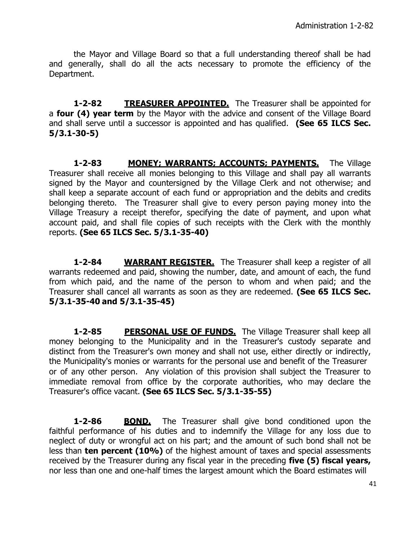the Mayor and Village Board so that a full understanding thereof shall be had and generally, shall do all the acts necessary to promote the efficiency of the Department.

**1-2-82 TREASURER APPOINTED.** The Treasurer shall be appointed for a **four (4) year term** by the Mayor with the advice and consent of the Village Board and shall serve until a successor is appointed and has qualified. **(See 65 ILCS Sec. 5/3.1-30-5)**

**1-2-83 MONEY; WARRANTS; ACCOUNTS; PAYMENTS.** The Village Treasurer shall receive all monies belonging to this Village and shall pay all warrants signed by the Mayor and countersigned by the Village Clerk and not otherwise; and shall keep a separate account of each fund or appropriation and the debits and credits belonging thereto. The Treasurer shall give to every person paying money into the Village Treasury a receipt therefor, specifying the date of payment, and upon what account paid, and shall file copies of such receipts with the Clerk with the monthly reports. **(See 65 ILCS Sec. 5/3.1-35-40)**

**1-2-84 WARRANT REGISTER.** The Treasurer shall keep a register of all warrants redeemed and paid, showing the number, date, and amount of each, the fund from which paid, and the name of the person to whom and when paid; and the Treasurer shall cancel all warrants as soon as they are redeemed. **(See 65 ILCS Sec. 5/3.1-35-40 and 5/3.1-35-45)**

**1-2-85** PERSONAL USE OF FUNDS. The Village Treasurer shall keep all money belonging to the Municipality and in the Treasurer's custody separate and distinct from the Treasurer's own money and shall not use, either directly or indirectly, the Municipality's monies or warrants for the personal use and benefit of the Treasurer or of any other person. Any violation of this provision shall subject the Treasurer to immediate removal from office by the corporate authorities, who may declare the Treasurer's office vacant. **(See 65 ILCS Sec. 5/3.1-35-55)**

**1-2-86 BOND.** The Treasurer shall give bond conditioned upon the faithful performance of his duties and to indemnify the Village for any loss due to neglect of duty or wrongful act on his part; and the amount of such bond shall not be less than **ten percent (10%)** of the highest amount of taxes and special assessments received by the Treasurer during any fiscal year in the preceding **five (5) fiscal years,**  nor less than one and one-half times the largest amount which the Board estimates will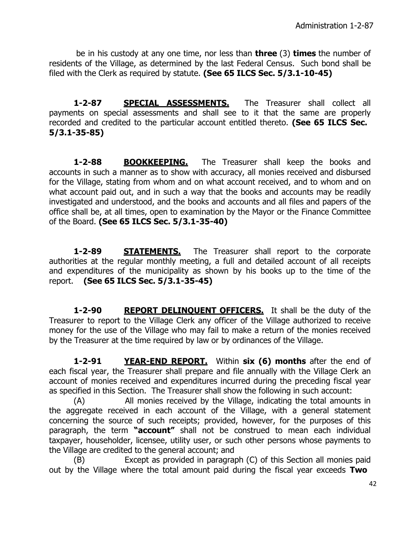be in his custody at any one time, nor less than **three** (3) **times** the number of residents of the Village, as determined by the last Federal Census. Such bond shall be filed with the Clerk as required by statute. **(See 65 ILCS Sec. 5/3.1-10-45)**

1-2-87 **SPECIAL ASSESSMENTS.** The Treasurer shall collect all payments on special assessments and shall see to it that the same are properly recorded and credited to the particular account entitled thereto. **(See 65 ILCS Sec. 5/3.1-35-85)**

**1-2-88 BOOKKEEPING.** The Treasurer shall keep the books and accounts in such a manner as to show with accuracy, all monies received and disbursed for the Village, stating from whom and on what account received, and to whom and on what account paid out, and in such a way that the books and accounts may be readily investigated and understood, and the books and accounts and all files and papers of the office shall be, at all times, open to examination by the Mayor or the Finance Committee of the Board. **(See 65 ILCS Sec. 5/3.1-35-40)**

**1-2-89 STATEMENTS.** The Treasurer shall report to the corporate authorities at the regular monthly meeting, a full and detailed account of all receipts and expenditures of the municipality as shown by his books up to the time of the report. **(See 65 ILCS Sec. 5/3.1-35-45)**

**1-2-90 REPORT DELINQUENT OFFICERS.** It shall be the duty of the Treasurer to report to the Village Clerk any officer of the Village authorized to receive money for the use of the Village who may fail to make a return of the monies received by the Treasurer at the time required by law or by ordinances of the Village.

**1-2-91 YEAR-END REPORT.** Within **six (6) months** after the end of each fiscal year, the Treasurer shall prepare and file annually with the Village Clerk an account of monies received and expenditures incurred during the preceding fiscal year as specified in this Section. The Treasurer shall show the following in such account:

(A) All monies received by the Village, indicating the total amounts in the aggregate received in each account of the Village, with a general statement concerning the source of such receipts; provided, however, for the purposes of this paragraph, the term **"account"** shall not be construed to mean each individual taxpayer, householder, licensee, utility user, or such other persons whose payments to the Village are credited to the general account; and

(B) Except as provided in paragraph (C) of this Section all monies paid out by the Village where the total amount paid during the fiscal year exceeds **Two**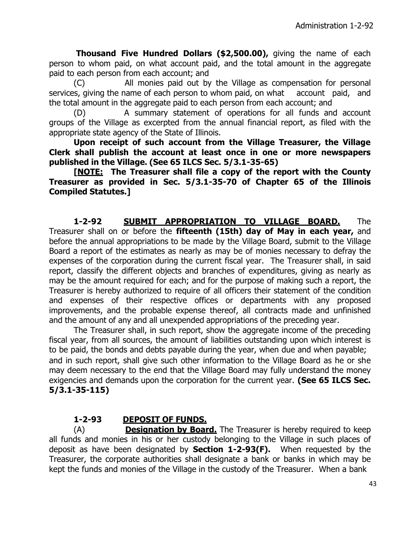**Thousand Five Hundred Dollars (\$2,500.00),** giving the name of each person to whom paid, on what account paid, and the total amount in the aggregate paid to each person from each account; and

(C) All monies paid out by the Village as compensation for personal services, giving the name of each person to whom paid, on what account paid, and the total amount in the aggregate paid to each person from each account; and

(D) A summary statement of operations for all funds and account groups of the Village as excerpted from the annual financial report, as filed with the appropriate state agency of the State of Illinois.

**Upon receipt of such account from the Village Treasurer, the Village Clerk shall publish the account at least once in one or more newspapers published in the Village. (See 65 ILCS Sec. 5/3.1-35-65)**

**[NOTE: The Treasurer shall file a copy of the report with the County Treasurer as provided in Sec. 5/3.1-35-70 of Chapter 65 of the Illinois Compiled Statutes.]**

**1-2-92 SUBMIT APPROPRIATION TO VILLAGE BOARD.** The Treasurer shall on or before the **fifteenth (15th) day of May in each year,** and before the annual appropriations to be made by the Village Board, submit to the Village Board a report of the estimates as nearly as may be of monies necessary to defray the expenses of the corporation during the current fiscal year. The Treasurer shall, in said report, classify the different objects and branches of expenditures, giving as nearly as may be the amount required for each; and for the purpose of making such a report, the Treasurer is hereby authorized to require of all officers their statement of the condition and expenses of their respective offices or departments with any proposed improvements, and the probable expense thereof, all contracts made and unfinished and the amount of any and all unexpended appropriations of the preceding year.

The Treasurer shall, in such report, show the aggregate income of the preceding fiscal year, from all sources, the amount of liabilities outstanding upon which interest is to be paid, the bonds and debts payable during the year, when due and when payable; and in such report, shall give such other information to the Village Board as he or she may deem necessary to the end that the Village Board may fully understand the money exigencies and demands upon the corporation for the current year. **(See 65 ILCS Sec. 5/3.1-35-115)**

# **1-2-93 DEPOSIT OF FUNDS.**

(A) **Designation by Board.** The Treasurer is hereby required to keep all funds and monies in his or her custody belonging to the Village in such places of deposit as have been designated by **Section 1-2-93(F).** When requested by the Treasurer, the corporate authorities shall designate a bank or banks in which may be kept the funds and monies of the Village in the custody of the Treasurer. When a bank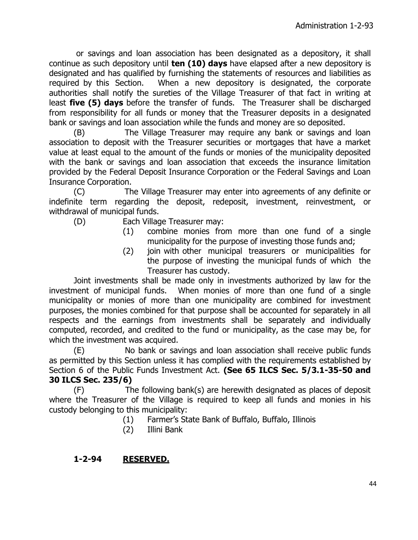or savings and loan association has been designated as a depository, it shall continue as such depository until **ten (10) days** have elapsed after a new depository is designated and has qualified by furnishing the statements of resources and liabilities as required by this Section. When a new depository is designated, the corporate authorities shall notify the sureties of the Village Treasurer of that fact in writing at least **five (5) days** before the transfer of funds. The Treasurer shall be discharged from responsibility for all funds or money that the Treasurer deposits in a designated bank or savings and loan association while the funds and money are so deposited.

(B) The Village Treasurer may require any bank or savings and loan association to deposit with the Treasurer securities or mortgages that have a market value at least equal to the amount of the funds or monies of the municipality deposited with the bank or savings and loan association that exceeds the insurance limitation provided by the Federal Deposit Insurance Corporation or the Federal Savings and Loan Insurance Corporation.

(C) The Village Treasurer may enter into agreements of any definite or indefinite term regarding the deposit, redeposit, investment, reinvestment, or withdrawal of municipal funds.

- (D) Each Village Treasurer may:
	- (1) combine monies from more than one fund of a single municipality for the purpose of investing those funds and;
	- (2) join with other municipal treasurers or municipalities for the purpose of investing the municipal funds of which the Treasurer has custody.

Joint investments shall be made only in investments authorized by law for the investment of municipal funds. When monies of more than one fund of a single municipality or monies of more than one municipality are combined for investment purposes, the monies combined for that purpose shall be accounted for separately in all respects and the earnings from investments shall be separately and individually computed, recorded, and credited to the fund or municipality, as the case may be, for which the investment was acquired.

(E) No bank or savings and loan association shall receive public funds as permitted by this Section unless it has complied with the requirements established by Section 6 of the Public Funds Investment Act. **(See 65 ILCS Sec. 5/3.1-35-50 and 30 ILCS Sec. 235/6)**

(F) The following bank(s) are herewith designated as places of deposit where the Treasurer of the Village is required to keep all funds and monies in his custody belonging to this municipality:

- (1) Farmer's State Bank of Buffalo, Buffalo, Illinois
- (2) Illini Bank

# **1-2-94 RESERVED.**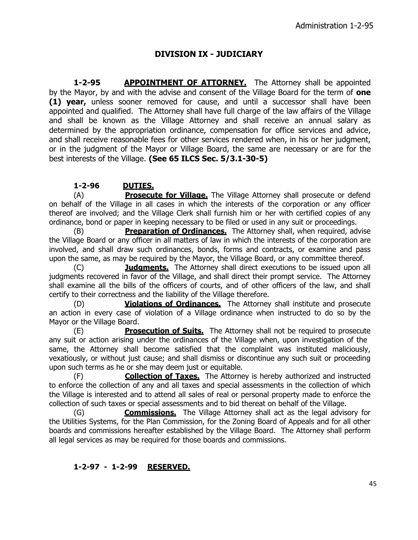# **DIVISION IX - JUDICIARY**

**1-2-95 APPOINTMENT OF ATTORNEY.** The Attorney shall be appointed by the Mayor, by and with the advise and consent of the Village Board for the term of **one (1) year,** unless sooner removed for cause, and until a successor shall have been appointed and qualified. The Attorney shall have full charge of the law affairs of the Village and shall be known as the Village Attorney and shall receive an annual salary as determined by the appropriation ordinance, compensation for office services and advice, and shall receive reasonable fees for other services rendered when, in his or her judgment, or in the judgment of the Mayor or Village Board, the same are necessary or are for the best interests of the Village. **(See 65 ILCS Sec. 5/3.1-30-5)**

#### **1-2-96 DUTIES.**

(A) **Prosecute for Village.** The Village Attorney shall prosecute or defend on behalf of the Village in all cases in which the interests of the corporation or any officer thereof are involved; and the Village Clerk shall furnish him or her with certified copies of any ordinance, bond or paper in keeping necessary to be filed or used in any suit or proceedings.

(B) **Preparation of Ordinances.** The Attorney shall, when required, advise the Village Board or any officer in all matters of law in which the interests of the corporation are involved, and shall draw such ordinances, bonds, forms and contracts, or examine and pass upon the same, as may be required by the Mayor, the Village Board, or any committee thereof.

(C) **Judgments.** The Attorney shall direct executions to be issued upon all judgments recovered in favor of the Village, and shall direct their prompt service. The Attorney shall examine all the bills of the officers of courts, and of other officers of the law, and shall certify to their correctness and the liability of the Village therefore.

(D) **Violations of Ordinances.** The Attorney shall institute and prosecute an action in every case of violation of a Village ordinance when instructed to do so by the Mayor or the Village Board.

(E) **Prosecution of Suits.** The Attorney shall not be required to prosecute any suit or action arising under the ordinances of the Village when, upon investigation of the same, the Attorney shall become satisfied that the complaint was instituted maliciously, vexatiously, or without just cause; and shall dismiss or discontinue any such suit or proceeding upon such terms as he or she may deem just or equitable.

(F) **Collection of Taxes.** The Attorney is hereby authorized and instructed to enforce the collection of any and all taxes and special assessments in the collection of which the Village is interested and to attend all sales of real or personal property made to enforce the collection of such taxes or special assessments and to bid thereat on behalf of the Village.

(G) **Commissions.** The Village Attorney shall act as the legal advisory for the Utilities Systems, for the Plan Commission, for the Zoning Board of Appeals and for all other boards and commissions hereafter established by the Village Board. The Attorney shall perform all legal services as may be required for those boards and commissions.

#### **1-2-97 - 1-2-99 RESERVED.**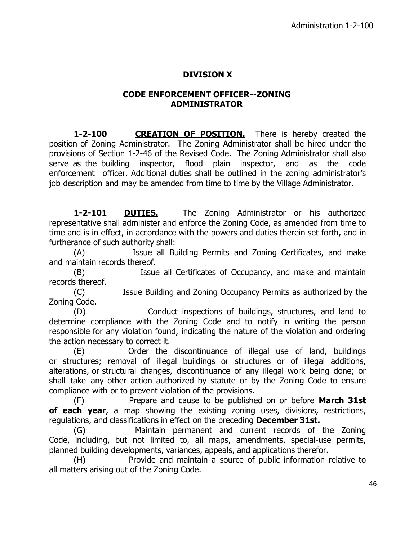# **DIVISION X**

#### **CODE ENFORCEMENT OFFICER--ZONING ADMINISTRATOR**

**1-2-100 CREATION OF POSITION.** There is hereby created the position of Zoning Administrator. The Zoning Administrator shall be hired under the provisions of Section 1-2-46 of the Revised Code. The Zoning Administrator shall also serve as the building inspector, flood plain inspector, and as the code enforcement officer. Additional duties shall be outlined in the zoning administrator's job description and may be amended from time to time by the Village Administrator.

**1-2-101 DUTIES.** The Zoning Administrator or his authorized representative shall administer and enforce the Zoning Code, as amended from time to time and is in effect, in accordance with the powers and duties therein set forth, and in furtherance of such authority shall:

(A) Issue all Building Permits and Zoning Certificates, and make and maintain records thereof.

(B) Issue all Certificates of Occupancy, and make and maintain records thereof.

(C) Issue Building and Zoning Occupancy Permits as authorized by the Zoning Code.

(D) Conduct inspections of buildings, structures, and land to determine compliance with the Zoning Code and to notify in writing the person responsible for any violation found, indicating the nature of the violation and ordering the action necessary to correct it.

(E) Order the discontinuance of illegal use of land, buildings or structures; removal of illegal buildings or structures or of illegal additions, alterations, or structural changes, discontinuance of any illegal work being done; or shall take any other action authorized by statute or by the Zoning Code to ensure compliance with or to prevent violation of the provisions.

(F) Prepare and cause to be published on or before **March 31st of each year**, a map showing the existing zoning uses, divisions, restrictions, regulations, and classifications in effect on the preceding **December 31st.**

(G) Maintain permanent and current records of the Zoning Code, including, but not limited to, all maps, amendments, special-use permits, planned building developments, variances, appeals, and applications therefor.

(H) Provide and maintain a source of public information relative to all matters arising out of the Zoning Code.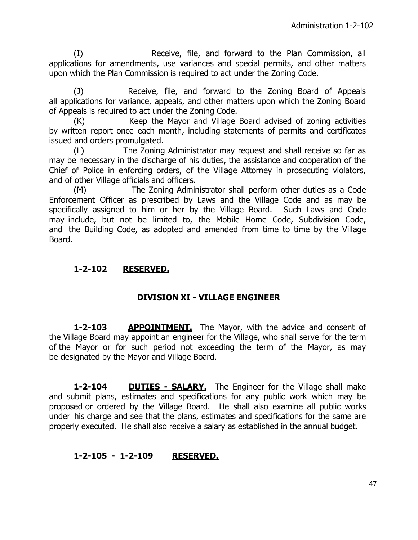(I) Receive, file, and forward to the Plan Commission, all applications for amendments, use variances and special permits, and other matters upon which the Plan Commission is required to act under the Zoning Code.

(J) Receive, file, and forward to the Zoning Board of Appeals all applications for variance, appeals, and other matters upon which the Zoning Board of Appeals is required to act under the Zoning Code.

(K) Keep the Mayor and Village Board advised of zoning activities by written report once each month, including statements of permits and certificates issued and orders promulgated.

(L) The Zoning Administrator may request and shall receive so far as may be necessary in the discharge of his duties, the assistance and cooperation of the Chief of Police in enforcing orders, of the Village Attorney in prosecuting violators, and of other Village officials and officers.

(M) The Zoning Administrator shall perform other duties as a Code Enforcement Officer as prescribed by Laws and the Village Code and as may be specifically assigned to him or her by the Village Board. Such Laws and Code may include, but not be limited to, the Mobile Home Code, Subdivision Code, and the Building Code, as adopted and amended from time to time by the Village Board.

# **1-2-102 RESERVED.**

## **DIVISION XI - VILLAGE ENGINEER**

**1-2-103 APPOINTMENT.** The Mayor, with the advice and consent of the Village Board may appoint an engineer for the Village, who shall serve for the term of the Mayor or for such period not exceeding the term of the Mayor, as may be designated by the Mayor and Village Board.

**1-2-104 DUTIES - SALARY.** The Engineer for the Village shall make and submit plans, estimates and specifications for any public work which may be proposed or ordered by the Village Board. He shall also examine all public works under his charge and see that the plans, estimates and specifications for the same are properly executed. He shall also receive a salary as established in the annual budget.

## **1-2-105 - 1-2-109 RESERVED.**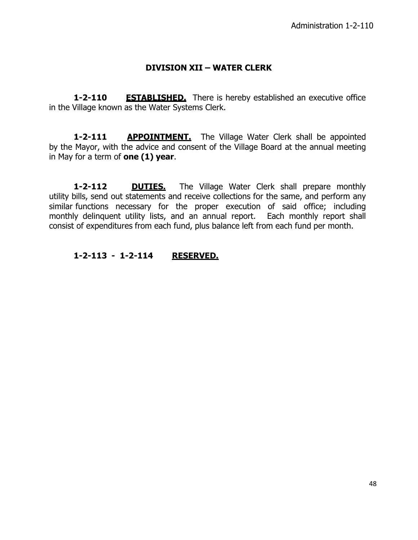## **DIVISION XII – WATER CLERK**

**1-2-110 ESTABLISHED.** There is hereby established an executive office in the Village known as the Water Systems Clerk.

**1-2-111 APPOINTMENT.** The Village Water Clerk shall be appointed by the Mayor, with the advice and consent of the Village Board at the annual meeting in May for a term of **one (1) year**.

**1-2-112 DUTIES.** The Village Water Clerk shall prepare monthly utility bills, send out statements and receive collections for the same, and perform any similar functions necessary for the proper execution of said office; including monthly delinquent utility lists, and an annual report. Each monthly report shall consist of expenditures from each fund, plus balance left from each fund per month.

#### **1-2-113 - 1-2-114 RESERVED.**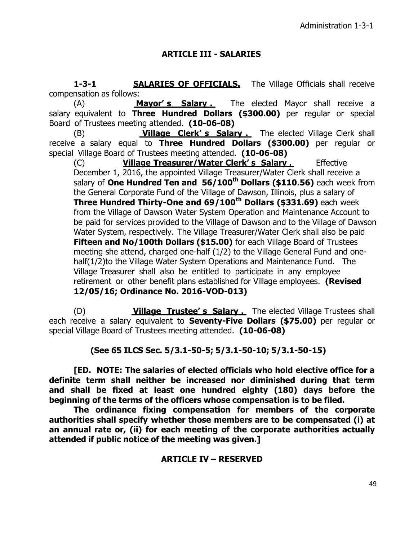# **ARTICLE III - SALARIES**

**1-3-1 SALARIES OF OFFICIALS.** The Village Officials shall receive compensation as follows:

(A) **Mayor' s Salary .** The elected Mayor shall receive a salary equivalent to **Three Hundred Dollars (\$300.00)** per regular or special Board of Trustees meeting attended. **(10-06-08)**

(B) **Village Clerk' s Salary .** The elected Village Clerk shall receive a salary equal to **Three Hundred Dollars (\$300.00)** per regular or special Village Board of Trustees meeting attended. **(10-06-08)**

(C) **Village Treasurer/Water Clerk' s Salary .** Effective December 1, 2016, the appointed Village Treasurer/Water Clerk shall receive a salary of **One Hundred Ten and 56/100th Dollars (\$110.56)** each week from the General Corporate Fund of the Village of Dawson, Illinois, plus a salary of **Three Hundred Thirty-One and 69/100th Dollars (\$331.69)** each week from the Village of Dawson Water System Operation and Maintenance Account to be paid for services provided to the Village of Dawson and to the Village of Dawson Water System, respectively. The Village Treasurer/Water Clerk shall also be paid **Fifteen and No/100th Dollars (\$15.00)** for each Village Board of Trustees meeting she attend, charged one-half (1/2) to the Village General Fund and onehalf(1/2)to the Village Water System Operations and Maintenance Fund. The Village Treasurer shall also be entitled to participate in any employee retirement or other benefit plans established for Village employees. **(Revised 12/05/16; Ordinance No. 2016-VOD-013)**

(D) **Village Trustee' s Salary .** The elected Village Trustees shall each receive a salary equivalent to **Seventy-Five Dollars (\$75.00)** per regular or special Village Board of Trustees meeting attended. **(10-06-08)**

**(See 65 ILCS Sec. 5/3.1-50-5; 5/3.1-50-10; 5/3.1-50-15)**

**[ED. NOTE: The salaries of elected officials who hold elective office for a definite term shall neither be increased nor diminished during that term and shall be fixed at least one hundred eighty (180) days before the beginning of the terms of the officers whose compensation is to be filed.**

**The ordinance fixing compensation for members of the corporate authorities shall specify whether those members are to be compensated (i) at an annual rate or, (ii) for each meeting of the corporate authorities actually attended if public notice of the meeting was given.]**

## **ARTICLE IV – RESERVED**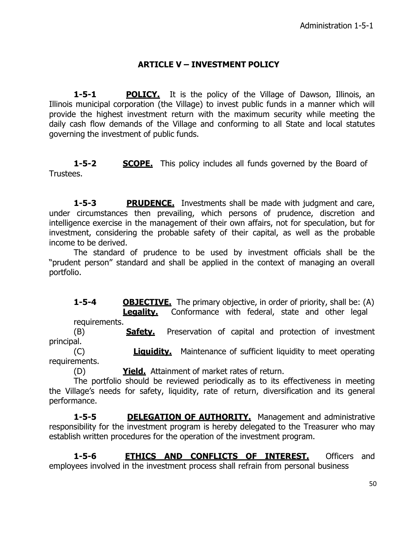# **ARTICLE V – INVESTMENT POLICY**

**1-5-1 POLICY.** It is the policy of the Village of Dawson, Illinois, an Illinois municipal corporation (the Village) to invest public funds in a manner which will provide the highest investment return with the maximum security while meeting the daily cash flow demands of the Village and conforming to all State and local statutes governing the investment of public funds.

**1-5-2 SCOPE.** This policy includes all funds governed by the Board of Trustees.

**1-5-3 PRUDENCE.** Investments shall be made with judgment and care, under circumstances then prevailing, which persons of prudence, discretion and intelligence exercise in the management of their own affairs, not for speculation, but for investment, considering the probable safety of their capital, as well as the probable income to be derived.

The standard of prudence to be used by investment officials shall be the "prudent person" standard and shall be applied in the context of managing an overall portfolio.

**1-5-4 OBJECTIVE.** The primary objective, in order of priority, shall be: (A) **Legality.** Conformance with federal, state and other legal

requirements.

(B) **Safety.** Preservation of capital and protection of investment principal.

(C) **Liquidity.** Maintenance of sufficient liquidity to meet operating requirements.

(D) **Yield.** Attainment of market rates of return.

The portfolio should be reviewed periodically as to its effectiveness in meeting the Village's needs for safety, liquidity, rate of return, diversification and its general performance.

**1-5-5 DELEGATION OF AUTHORITY.** Management and administrative responsibility for the investment program is hereby delegated to the Treasurer who may establish written procedures for the operation of the investment program.

**1-5-6 ETHICS AND CONFLICTS OF INTEREST.** Officers and employees involved in the investment process shall refrain from personal business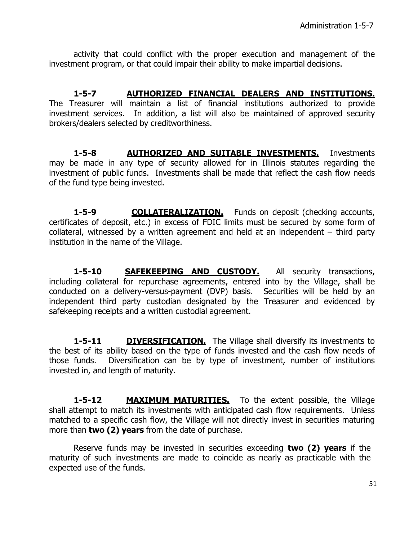activity that could conflict with the proper execution and management of the investment program, or that could impair their ability to make impartial decisions.

**1-5-7 AUTHORIZED FINANCIAL DEALERS AND INSTITUTIONS.** The Treasurer will maintain a list of financial institutions authorized to provide investment services. In addition, a list will also be maintained of approved security brokers/dealers selected by creditworthiness.

**1-5-8 AUTHORIZED AND SUITABLE INVESTMENTS.** Investments may be made in any type of security allowed for in Illinois statutes regarding the investment of public funds. Investments shall be made that reflect the cash flow needs of the fund type being invested.

**1-5-9 COLLATERALIZATION.** Funds on deposit (checking accounts, certificates of deposit, etc.) in excess of FDIC limits must be secured by some form of collateral, witnessed by a written agreement and held at an independent – third party institution in the name of the Village.

1-5-10 **SAFEKEEPING AND CUSTODY.** All security transactions, including collateral for repurchase agreements, entered into by the Village, shall be conducted on a delivery-versus-payment (DVP) basis. Securities will be held by an independent third party custodian designated by the Treasurer and evidenced by safekeeping receipts and a written custodial agreement.

**1-5-11 DIVERSIFICATION.** The Village shall diversify its investments to the best of its ability based on the type of funds invested and the cash flow needs of those funds. Diversification can be by type of investment, number of institutions invested in, and length of maturity.

**1-5-12 MAXIMUM MATURITIES.** To the extent possible, the Village shall attempt to match its investments with anticipated cash flow requirements. Unless matched to a specific cash flow, the Village will not directly invest in securities maturing more than **two (2) years** from the date of purchase.

Reserve funds may be invested in securities exceeding **two (2) years** if the maturity of such investments are made to coincide as nearly as practicable with the expected use of the funds.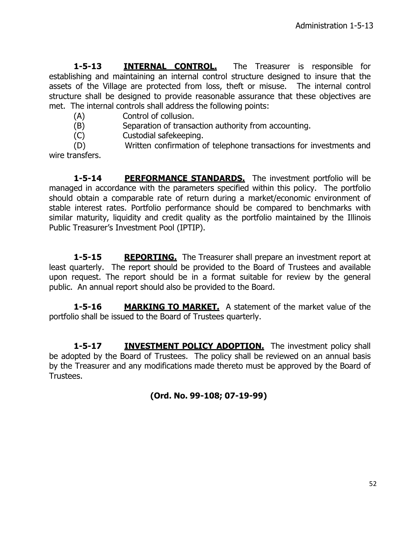**1-5-13 INTERNAL CONTROL.** The Treasurer is responsible for establishing and maintaining an internal control structure designed to insure that the assets of the Village are protected from loss, theft or misuse. The internal control structure shall be designed to provide reasonable assurance that these objectives are met. The internal controls shall address the following points:

- (A) Control of collusion.
- (B) Separation of transaction authority from accounting.
- (C) Custodial safekeeping.

(D) Written confirmation of telephone transactions for investments and wire transfers.

**1-5-14 PERFORMANCE STANDARDS.** The investment portfolio will be managed in accordance with the parameters specified within this policy. The portfolio should obtain a comparable rate of return during a market/economic environment of stable interest rates. Portfolio performance should be compared to benchmarks with similar maturity, liquidity and credit quality as the portfolio maintained by the Illinois Public Treasurer's Investment Pool (IPTIP).

**1-5-15 REPORTING.** The Treasurer shall prepare an investment report at least quarterly. The report should be provided to the Board of Trustees and available upon request. The report should be in a format suitable for review by the general public. An annual report should also be provided to the Board.

**1-5-16 MARKING TO MARKET.** A statement of the market value of the portfolio shall be issued to the Board of Trustees quarterly.

**1-5-17 INVESTMENT POLICY ADOPTION.** The investment policy shall be adopted by the Board of Trustees. The policy shall be reviewed on an annual basis by the Treasurer and any modifications made thereto must be approved by the Board of Trustees.

**(Ord. No. 99-108; 07-19-99)**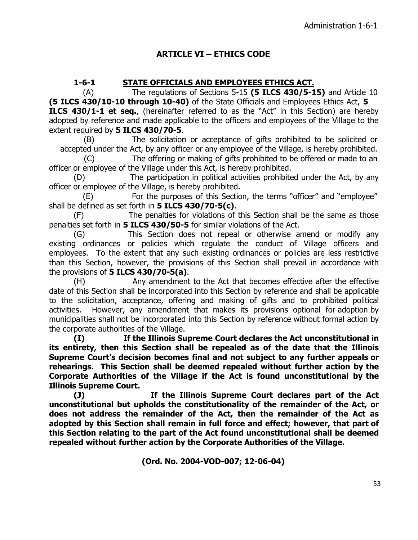# **ARTICLE VI – ETHICS CODE**

# **1-6-1 STATE OFFICIALS AND EMPLOYEES ETHICS ACT.**

(A) The regulations of Sections 5-15 **(5 ILCS 430/5-15)** and Article 10 **(5 ILCS 430/10-10 through 10-40)** of the State Officials and Employees Ethics Act, **5 ILCS 430/1-1 et seq.**, (hereinafter referred to as the "Act" in this Section) are hereby adopted by reference and made applicable to the officers and employees of the Village to the extent required by **5 ILCS 430/70-5**.

(B) The solicitation or acceptance of gifts prohibited to be solicited or accepted under the Act, by any officer or any employee of the Village, is hereby prohibited.

(C) The offering or making of gifts prohibited to be offered or made to an officer or employee of the Village under this Act, is hereby prohibited.

(D) The participation in political activities prohibited under the Act, by any officer or employee of the Village, is hereby prohibited.

(E) For the purposes of this Section, the terms "officer" and "employee" shall be defined as set forth in **5 ILCS 430/70-5(c)**.

(F) The penalties for violations of this Section shall be the same as those penalties set forth in **5 ILCS 430/50-5** for similar violations of the Act.

(G) This Section does not repeal or otherwise amend or modify any existing ordinances or policies which regulate the conduct of Village officers and employees. To the extent that any such existing ordinances or policies are less restrictive than this Section, however, the provisions of this Section shall prevail in accordance with the provisions of **5 ILCS 430/70-5(a)**.

(H) Any amendment to the Act that becomes effective after the effective date of this Section shall be incorporated into this Section by reference and shall be applicable to the solicitation, acceptance, offering and making of gifts and to prohibited political activities. However, any amendment that makes its provisions optional for adoption by municipalities shall not be incorporated into this Section by reference without formal action by the corporate authorities of the Village.

**(I) If the Illinois Supreme Court declares the Act unconstitutional in its entirety, then this Section shall be repealed as of the date that the Illinois Supreme Court's decision becomes final and not subject to any further appeals or rehearings. This Section shall be deemed repealed without further action by the Corporate Authorities of the Village if the Act is found unconstitutional by the Illinois Supreme Court.**

**(J) If the Illinois Supreme Court declares part of the Act unconstitutional but upholds the constitutionality of the remainder of the Act, or does not address the remainder of the Act, then the remainder of the Act as adopted by this Section shall remain in full force and effect; however, that part of this Section relating to the part of the Act found unconstitutional shall be deemed repealed without further action by the Corporate Authorities of the Village.**

**(Ord. No. 2004-VOD-007; 12-06-04)**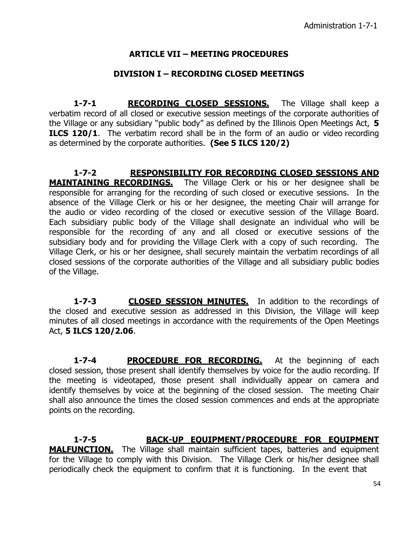# **ARTICLE VII – MEETING PROCEDURES**

### **DIVISION I – RECORDING CLOSED MEETINGS**

1-7-1 **RECORDING CLOSED SESSIONS.** The Village shall keep a verbatim record of all closed or executive session meetings of the corporate authorities of the Village or any subsidiary "public body" as defined by the Illinois Open Meetings Act, **5 ILCS 120/1.** The verbatim record shall be in the form of an audio or video recording as determined by the corporate authorities. **(See 5 ILCS 120/2)**

**1-7-2 RESPONSIBILITY FOR RECORDING CLOSED SESSIONS AND MAINTAINING RECORDINGS.** The Village Clerk or his or her designee shall be responsible for arranging for the recording of such closed or executive sessions. In the absence of the Village Clerk or his or her designee, the meeting Chair will arrange for the audio or video recording of the closed or executive session of the Village Board. Each subsidiary public body of the Village shall designate an individual who will be responsible for the recording of any and all closed or executive sessions of the subsidiary body and for providing the Village Clerk with a copy of such recording. The Village Clerk, or his or her designee, shall securely maintain the verbatim recordings of all closed sessions of the corporate authorities of the Village and all subsidiary public bodies of the Village.

**1-7-3 CLOSED SESSION MINUTES.** In addition to the recordings of the closed and executive session as addressed in this Division, the Village will keep minutes of all closed meetings in accordance with the requirements of the Open Meetings Act, **5 ILCS 120/2.06**.

**1-7-4 PROCEDURE FOR RECORDING.** At the beginning of each closed session, those present shall identify themselves by voice for the audio recording. If the meeting is videotaped, those present shall individually appear on camera and identify themselves by voice at the beginning of the closed session. The meeting Chair shall also announce the times the closed session commences and ends at the appropriate points on the recording.

**1-7-5 BACK-UP EQUIPMENT/PROCEDURE FOR EQUIPMENT MALFUNCTION.** The Village shall maintain sufficient tapes, batteries and equipment for the Village to comply with this Division. The Village Clerk or his/her designee shall periodically check the equipment to confirm that it is functioning. In the event that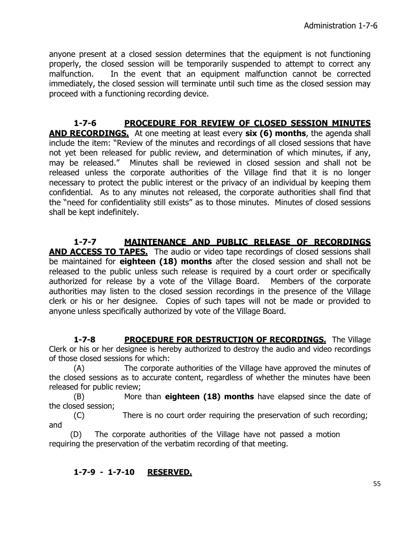anyone present at a closed session determines that the equipment is not functioning properly, the closed session will be temporarily suspended to attempt to correct any malfunction. In the event that an equipment malfunction cannot be corrected immediately, the closed session will terminate until such time as the closed session may proceed with a functioning recording device.

**1-7-6 PROCEDURE FOR REVIEW OF CLOSED SESSION MINUTES AND RECORDINGS.** At one meeting at least every **six (6) months**, the agenda shall include the item: "Review of the minutes and recordings of all closed sessions that have not yet been released for public review, and determination of which minutes, if any, may be released." Minutes shall be reviewed in closed session and shall not be released unless the corporate authorities of the Village find that it is no longer necessary to protect the public interest or the privacy of an individual by keeping them confidential. As to any minutes not released, the corporate authorities shall find that the "need for confidentiality still exists" as to those minutes. Minutes of closed sessions shall be kept indefinitely.

**1-7-7 MAINTENANCE AND PUBLIC RELEASE OF RECORDINGS AND ACCESS TO TAPES.** The audio or video tape recordings of closed sessions shall be maintained for **eighteen (18) months** after the closed session and shall not be released to the public unless such release is required by a court order or specifically authorized for release by a vote of the Village Board. Members of the corporate authorities may listen to the closed session recordings in the presence of the Village clerk or his or her designee. Copies of such tapes will not be made or provided to anyone unless specifically authorized by vote of the Village Board.

**1-7-8 PROCEDURE FOR DESTRUCTION OF RECORDINGS.** The Village Clerk or his or her designee is hereby authorized to destroy the audio and video recordings of those closed sessions for which:

(A) The corporate authorities of the Village have approved the minutes of the closed sessions as to accurate content, regardless of whether the minutes have been released for public review;

(B) More than **eighteen (18) months** have elapsed since the date of the closed session;

(C) There is no court order requiring the preservation of such recording; and

(D) The corporate authorities of the Village have not passed a motion requiring the preservation of the verbatim recording of that meeting.

## **1-7-9 - 1-7-10 RESERVED.**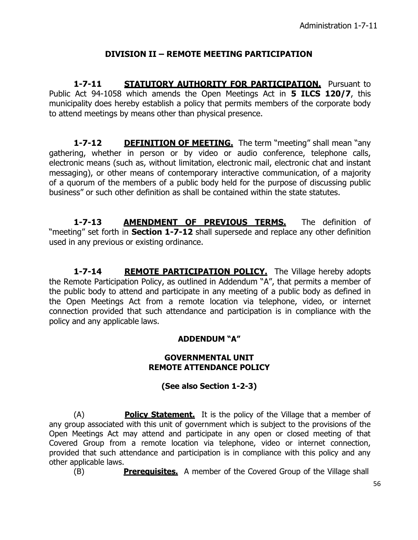# **DIVISION II – REMOTE MEETING PARTICIPATION**

**1-7-11 STATUTORY AUTHORITY FOR PARTICIPATION.** Pursuant to Public Act 94-1058 which amends the Open Meetings Act in **5 ILCS 120/7**, this municipality does hereby establish a policy that permits members of the corporate body to attend meetings by means other than physical presence.

**1-7-12** DEFINITION OF MEETING. The term "meeting" shall mean "any gathering, whether in person or by video or audio conference, telephone calls, electronic means (such as, without limitation, electronic mail, electronic chat and instant messaging), or other means of contemporary interactive communication, of a majority of a quorum of the members of a public body held for the purpose of discussing public business" or such other definition as shall be contained within the state statutes.

**1-7-13 AMENDMENT OF PREVIOUS TERMS.** The definition of "meeting" set forth in **Section 1-7-12** shall supersede and replace any other definition used in any previous or existing ordinance.

**1-7-14 REMOTE PARTICIPATION POLICY.** The Village hereby adopts the Remote Participation Policy, as outlined in Addendum "A", that permits a member of the public body to attend and participate in any meeting of a public body as defined in the Open Meetings Act from a remote location via telephone, video, or internet connection provided that such attendance and participation is in compliance with the policy and any applicable laws.

## **ADDENDUM "A"**

#### **GOVERNMENTAL UNIT REMOTE ATTENDANCE POLICY**

## **(See also Section 1-2-3)**

(A) **Policy Statement.** It is the policy of the Village that a member of any group associated with this unit of government which is subject to the provisions of the Open Meetings Act may attend and participate in any open or closed meeting of that Covered Group from a remote location via telephone, video or internet connection, provided that such attendance and participation is in compliance with this policy and any other applicable laws.

(B) **Prerequisites.** A member of the Covered Group of the Village shall